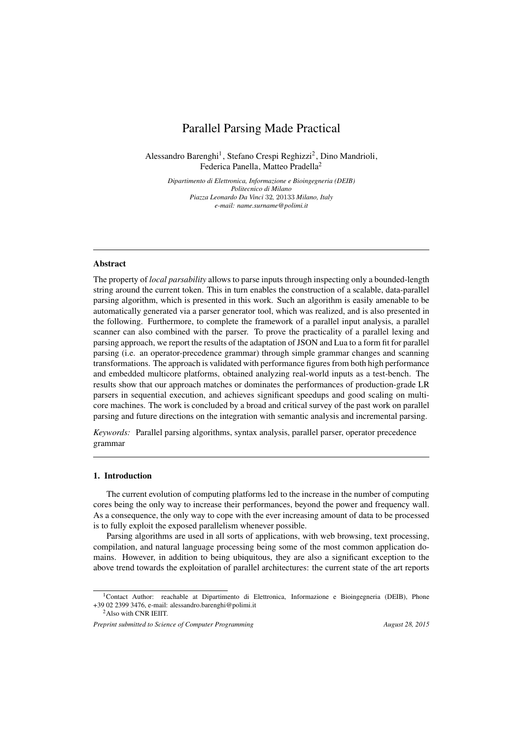# Parallel Parsing Made Practical

Alessandro Barenghi<sup>1</sup>, Stefano Crespi Reghizzi<sup>2</sup>, Dino Mandrioli, Federica Panella, Matteo Pradella<sup>2</sup>

> *Dipartimento di Elettronica, Informazione e Bioingegneria (DEIB) Politecnico di Milano Piazza Leonardo Da Vinci* 32*,* 20133 *Milano, Italy e-mail: name.surname@polimi.it*

## Abstract

The property of *local parsability* allows to parse inputs through inspecting only a bounded-length string around the current token. This in turn enables the construction of a scalable, data-parallel parsing algorithm, which is presented in this work. Such an algorithm is easily amenable to be automatically generated via a parser generator tool, which was realized, and is also presented in the following. Furthermore, to complete the framework of a parallel input analysis, a parallel scanner can also combined with the parser. To prove the practicality of a parallel lexing and parsing approach, we report the results of the adaptation of JSON and Lua to a form fit for parallel parsing (i.e. an operator-precedence grammar) through simple grammar changes and scanning transformations. The approach is validated with performance figures from both high performance and embedded multicore platforms, obtained analyzing real-world inputs as a test-bench. The results show that our approach matches or dominates the performances of production-grade LR parsers in sequential execution, and achieves significant speedups and good scaling on multicore machines. The work is concluded by a broad and critical survey of the past work on parallel parsing and future directions on the integration with semantic analysis and incremental parsing.

*Keywords:* Parallel parsing algorithms, syntax analysis, parallel parser, operator precedence grammar

## 1. Introduction

The current evolution of computing platforms led to the increase in the number of computing cores being the only way to increase their performances, beyond the power and frequency wall. As a consequence, the only way to cope with the ever increasing amount of data to be processed is to fully exploit the exposed parallelism whenever possible.

Parsing algorithms are used in all sorts of applications, with web browsing, text processing, compilation, and natural language processing being some of the most common application domains. However, in addition to being ubiquitous, they are also a significant exception to the above trend towards the exploitation of parallel architectures: the current state of the art reports

<sup>1</sup>Contact Author: reachable at Dipartimento di Elettronica, Informazione e Bioingegneria (DEIB), Phone +39 02 2399 3476, e-mail: alessandro.barenghi@polimi.it

<sup>2</sup>Also with CNR IEIIT.

*Preprint submitted to Science of Computer Programming* August 28, 2015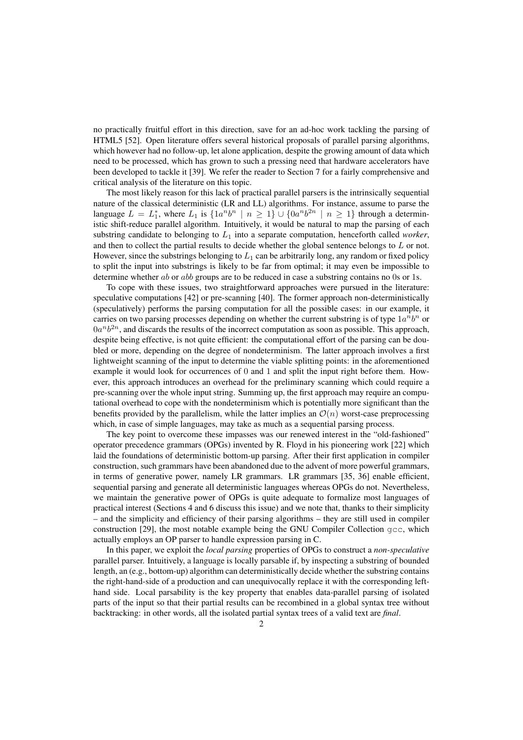no practically fruitful effort in this direction, save for an ad-hoc work tackling the parsing of HTML5 [52]. Open literature offers several historical proposals of parallel parsing algorithms, which however had no follow-up, let alone application, despite the growing amount of data which need to be processed, which has grown to such a pressing need that hardware accelerators have been developed to tackle it [39]. We refer the reader to Section 7 for a fairly comprehensive and critical analysis of the literature on this topic.

The most likely reason for this lack of practical parallel parsers is the intrinsically sequential nature of the classical deterministic (LR and LL) algorithms. For instance, assume to parse the language  $L = L_1^*$ , where  $L_1$  is  $\{1a^n b^n \mid n \geq 1\} \cup \{0a^n b^{2n} \mid n \geq 1\}$  through a deterministic shift-reduce parallel algorithm. Intuitively, it would be natural to map the parsing of each substring candidate to belonging to  $L_1$  into a separate computation, henceforth called *worker*, and then to collect the partial results to decide whether the global sentence belongs to L or not. However, since the substrings belonging to  $L_1$  can be arbitrarily long, any random or fixed policy to split the input into substrings is likely to be far from optimal; it may even be impossible to determine whether ab or abb groups are to be reduced in case a substring contains no 0s or 1s.

To cope with these issues, two straightforward approaches were pursued in the literature: speculative computations [42] or pre-scanning [40]. The former approach non-deterministically (speculatively) performs the parsing computation for all the possible cases: in our example, it carries on two parsing processes depending on whether the current substring is of type  $1a^n b^n$  or  $0a^n b^{2n}$ , and discards the results of the incorrect computation as soon as possible. This approach, despite being effective, is not quite efficient: the computational effort of the parsing can be doubled or more, depending on the degree of nondeterminism. The latter approach involves a first lightweight scanning of the input to determine the viable splitting points: in the aforementioned example it would look for occurrences of 0 and 1 and split the input right before them. However, this approach introduces an overhead for the preliminary scanning which could require a pre-scanning over the whole input string. Summing up, the first approach may require an computational overhead to cope with the nondeterminism which is potentially more significant than the benefits provided by the parallelism, while the latter implies an  $\mathcal{O}(n)$  worst-case preprocessing which, in case of simple languages, may take as much as a sequential parsing process.

The key point to overcome these impasses was our renewed interest in the "old-fashioned" operator precedence grammars (OPGs) invented by R. Floyd in his pioneering work [22] which laid the foundations of deterministic bottom-up parsing. After their first application in compiler construction, such grammars have been abandoned due to the advent of more powerful grammars, in terms of generative power, namely LR grammars. LR grammars [35, 36] enable efficient, sequential parsing and generate all deterministic languages whereas OPGs do not. Nevertheless, we maintain the generative power of OPGs is quite adequate to formalize most languages of practical interest (Sections 4 and 6 discuss this issue) and we note that, thanks to their simplicity – and the simplicity and efficiency of their parsing algorithms – they are still used in compiler construction [29], the most notable example being the GNU Compiler Collection  $qcc$ , which actually employs an OP parser to handle expression parsing in C.

In this paper, we exploit the *local parsing* properties of OPGs to construct a *non-speculative* parallel parser. Intuitively, a language is locally parsable if, by inspecting a substring of bounded length, an (e.g., bottom-up) algorithm can deterministically decide whether the substring contains the right-hand-side of a production and can unequivocally replace it with the corresponding lefthand side. Local parsability is the key property that enables data-parallel parsing of isolated parts of the input so that their partial results can be recombined in a global syntax tree without backtracking: in other words, all the isolated partial syntax trees of a valid text are *final*.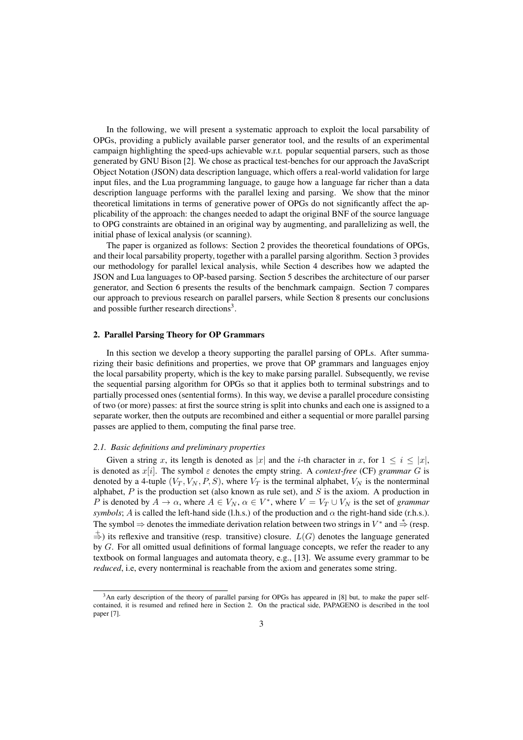In the following, we will present a systematic approach to exploit the local parsability of OPGs, providing a publicly available parser generator tool, and the results of an experimental campaign highlighting the speed-ups achievable w.r.t. popular sequential parsers, such as those generated by GNU Bison [2]. We chose as practical test-benches for our approach the JavaScript Object Notation (JSON) data description language, which offers a real-world validation for large input files, and the Lua programming language, to gauge how a language far richer than a data description language performs with the parallel lexing and parsing. We show that the minor theoretical limitations in terms of generative power of OPGs do not significantly affect the applicability of the approach: the changes needed to adapt the original BNF of the source language to OPG constraints are obtained in an original way by augmenting, and parallelizing as well, the initial phase of lexical analysis (or scanning).

The paper is organized as follows: Section 2 provides the theoretical foundations of OPGs, and their local parsability property, together with a parallel parsing algorithm. Section 3 provides our methodology for parallel lexical analysis, while Section 4 describes how we adapted the JSON and Lua languages to OP-based parsing. Section 5 describes the architecture of our parser generator, and Section 6 presents the results of the benchmark campaign. Section 7 compares our approach to previous research on parallel parsers, while Section 8 presents our conclusions and possible further research directions<sup>3</sup>.

#### 2. Parallel Parsing Theory for OP Grammars

In this section we develop a theory supporting the parallel parsing of OPLs. After summarizing their basic definitions and properties, we prove that OP grammars and languages enjoy the local parsability property, which is the key to make parsing parallel. Subsequently, we revise the sequential parsing algorithm for OPGs so that it applies both to terminal substrings and to partially processed ones (sentential forms). In this way, we devise a parallel procedure consisting of two (or more) passes: at first the source string is split into chunks and each one is assigned to a separate worker, then the outputs are recombined and either a sequential or more parallel parsing passes are applied to them, computing the final parse tree.

## *2.1. Basic definitions and preliminary properties*

Given a string x, its length is denoted as |x| and the i-th character in x, for  $1 \le i \le |x|$ , is denoted as  $x[i]$ . The symbol  $\varepsilon$  denotes the empty string. A *context-free* (CF) *grammar* G is denoted by a 4-tuple  $(V_T, V_N, P, S)$ , where  $V_T$  is the terminal alphabet,  $V_N$  is the nonterminal alphabet,  $P$  is the production set (also known as rule set), and  $S$  is the axiom. A production in P is denoted by  $A \to \alpha$ , where  $A \in V_N$ ,  $\alpha \in V^*$ , where  $V = V_T \cup V_N$  is the set of *grammar symbols*; A is called the left-hand side (l.h.s.) of the production and  $\alpha$  the right-hand side (r.h.s.). The symbol  $\Rightarrow$  denotes the immediate derivation relation between two strings in  $V^*$  and  $\stackrel{*}{\Rightarrow}$  (resp.  $\stackrel{+}{\Rightarrow}$ ) its reflexive and transitive (resp. transitive) closure.  $L(G)$  denotes the language generated by G. For all omitted usual definitions of formal language concepts, we refer the reader to any textbook on formal languages and automata theory, e.g., [13]. We assume every grammar to be *reduced*, i.e, every nonterminal is reachable from the axiom and generates some string.

<sup>3</sup>An early description of the theory of parallel parsing for OPGs has appeared in [8] but, to make the paper selfcontained, it is resumed and refined here in Section 2. On the practical side, PAPAGENO is described in the tool paper [7].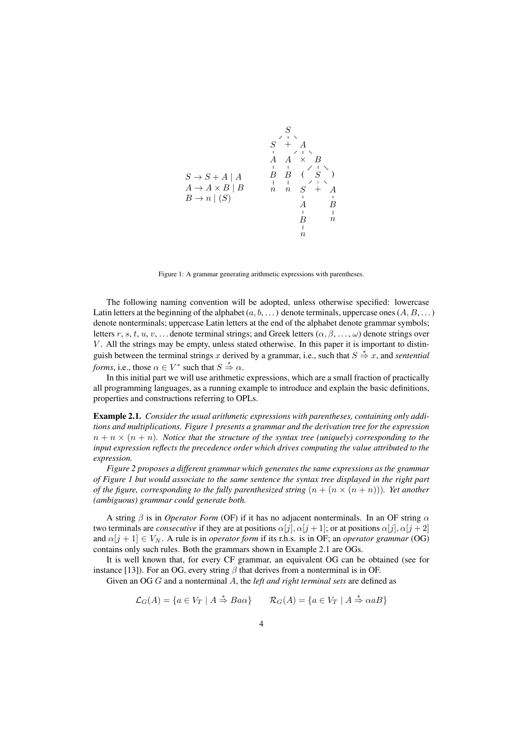

Figure 1: A grammar generating arithmetic expressions with parentheses.

The following naming convention will be adopted, unless otherwise specified: lowercase Latin letters at the beginning of the alphabet  $(a, b, \dots)$  denote terminals, uppercase ones  $(A, B, \dots)$ denote nonterminals; uppercase Latin letters at the end of the alphabet denote grammar symbols; letters r, s, t, u, v, ... denote terminal strings; and Greek letters  $(\alpha, \beta, \dots, \omega)$  denote strings over V . All the strings may be empty, unless stated otherwise. In this paper it is important to distinguish between the terminal strings x derived by a grammar, i.e., such that  $S \stackrel{*}{\Rightarrow} x$ , and *sentential forms*, i.e., those  $\alpha \in V^*$  such that  $S \stackrel{*}{\Rightarrow} \alpha$ .

In this initial part we will use arithmetic expressions, which are a small fraction of practically all programming languages, as a running example to introduce and explain the basic definitions, properties and constructions referring to OPLs.

Example 2.1. *Consider the usual arithmetic expressions with parentheses, containing only additions and multiplications. Figure 1 presents a grammar and the derivation tree for the expression*  $n + n \times (n + n)$ *. Notice that the structure of the syntax tree (uniquely) corresponding to the input expression reflects the precedence order which drives computing the value attributed to the expression.*

*Figure 2 proposes a different grammar which generates the same expressions as the grammar of Figure 1 but would associate to the same sentence the syntax tree displayed in the right part of the figure, corresponding to the fully parenthesized string*  $(n + (n \times (n + n)))$ *. Yet another (ambiguous) grammar could generate both.*

A string  $\beta$  is in *Operator Form* (OF) if it has no adjacent nonterminals. In an OF string  $\alpha$ two terminals are *consecutive* if they are at positions  $\alpha[j], \alpha[j+1]$ ; or at positions  $\alpha[j], \alpha[j+2]$ and  $\alpha[j + 1] \in V_N$ . A rule is in *operator form* if its r.h.s. is in OF; an *operator grammar* (OG) contains only such rules. Both the grammars shown in Example 2.1 are OGs.

It is well known that, for every CF grammar, an equivalent OG can be obtained (see for instance [13]). For an OG, every string  $\beta$  that derives from a nonterminal is in OF.

Given an OG G and a nonterminal A, the *left and right terminal sets* are defined as

$$
\mathcal{L}_G(A) = \{ a \in V_T \mid A \stackrel{*}{\Rightarrow} Ba\alpha \} \qquad \mathcal{R}_G(A) = \{ a \in V_T \mid A \stackrel{*}{\Rightarrow} \alpha aB \}
$$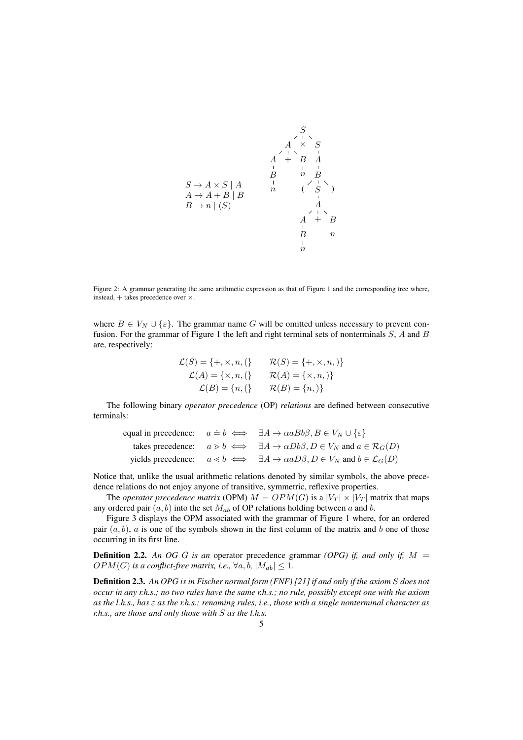

Figure 2: A grammar generating the same arithmetic expression as that of Figure 1 and the corresponding tree where, instead, + takes precedence over ×.

where  $B \in V_N \cup \{\varepsilon\}$ . The grammar name G will be omitted unless necessary to prevent confusion. For the grammar of Figure 1 the left and right terminal sets of nonterminals S, A and B are, respectively:

$$
\mathcal{L}(S) = \{+, \times, n, \left\} \qquad \mathcal{R}(S) = \{+, \times, n, \right\}
$$
\n
$$
\mathcal{L}(A) = \{ \times, n, \left\} \qquad \mathcal{R}(A) = \{ \times, n, \right\}
$$
\n
$$
\mathcal{L}(B) = \{n, \left\} \qquad \mathcal{R}(B) = \{n, \right\}
$$

The following binary *operator precedence* (OP) *relations* are defined between consecutive terminals:

|  | equal in precedence: $a \doteq b \iff \exists A \rightarrow \alpha a B b \beta, B \in V_N \cup \{\varepsilon\}$ |
|--|-----------------------------------------------------------------------------------------------------------------|
|  | takes precedence: $a > b \iff \exists A \to \alpha Db\beta, D \in V_N$ and $a \in \mathcal{R}_G(D)$             |
|  | yields precedence: $a \le b \iff \exists A \to \alpha a D \beta, D \in V_N$ and $b \in \mathcal{L}_G(D)$        |

Notice that, unlike the usual arithmetic relations denoted by similar symbols, the above precedence relations do not enjoy anyone of transitive, symmetric, reflexive properties.

The *operator precedence matrix* (OPM)  $M = OPM(G)$  is a  $|V_T| \times |V_T|$  matrix that maps any ordered pair  $(a, b)$  into the set  $M_{ab}$  of OP relations holding between a and b.

Figure 3 displays the OPM associated with the grammar of Figure 1 where, for an ordered pair  $(a, b)$ , a is one of the symbols shown in the first column of the matrix and b one of those occurring in its first line.

**Definition 2.2.** An OG G is an operator precedence grammar *(OPG) if, and only if,*  $M =$  $OPM(G)$  *is a conflict-free matrix, i.e.,*  $\forall a, b, |M_{ab}| \leq 1$ *.* 

Definition 2.3. *An OPG is in Fischer normal form (FNF) [21] if and only if the axiom* S *does not occur in any r.h.s.; no two rules have the same r.h.s.; no rule, possibly except one with the axiom as the l.h.s., has* ε *as the r.h.s.; renaming rules, i.e., those with a single nonterminal character as r.h.s., are those and only those with* S *as the l.h.s.*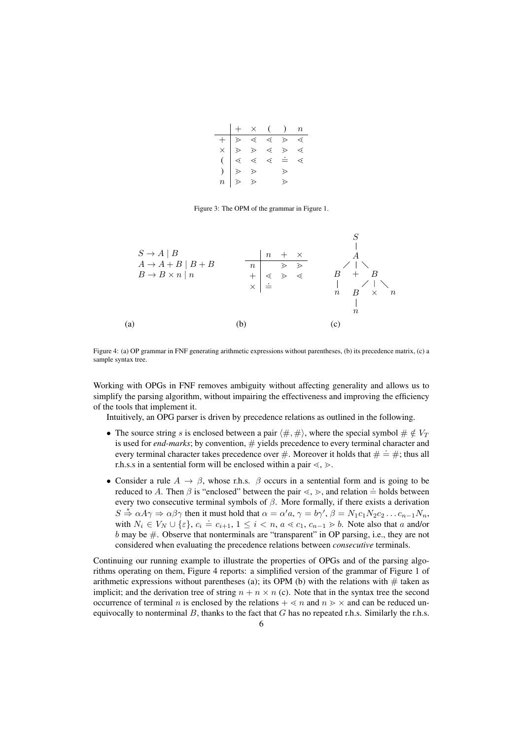|  | $+ \times$ ( ) n |  |  |
|--|------------------|--|--|
|  |                  |  |  |
|  |                  |  |  |
|  |                  |  |  |
|  |                  |  |  |
|  |                  |  |  |

Figure 3: The OPM of the grammar in Figure 1.



Figure 4: (a) OP grammar in FNF generating arithmetic expressions without parentheses, (b) its precedence matrix, (c) a sample syntax tree.

Working with OPGs in FNF removes ambiguity without affecting generality and allows us to simplify the parsing algorithm, without impairing the effectiveness and improving the efficiency of the tools that implement it.

Intuitively, an OPG parser is driven by precedence relations as outlined in the following.

- The source string s is enclosed between a pair  $(\#,\#)$ , where the special symbol  $\# \notin V_T$ is used for *end-marks*; by convention,  $\#$  yields precedence to every terminal character and to about form that matrices, by conventions,  $\pi$  yields precedence to every terminal character and every terminal character takes precedence over  $\#$ . Moreover it holds that  $\# \doteq \#$ ; thus all r.h.s.s in a sentential form will be enclosed within a pair  $\leq, \geq$ .
- Consider a rule  $A \rightarrow \beta$ , whose r.h.s.  $\beta$  occurs in a sentential form and is going to be reduced to A. Then  $\beta$  is "enclosed" between the pair  $\leq, \geq$ , and relation  $\doteq$  holds between every two consecutive terminal symbols of  $\beta$ . More formally, if there exists a derivation  $S \stackrel{*}{\Rightarrow} \alpha A \gamma \Rightarrow \alpha \beta \gamma$  then it must hold that  $\alpha = \alpha' a, \gamma = b \gamma', \beta = N_1 c_1 N_2 c_2 \dots c_{n-1} N_n$ , with  $N_i \in V_N \cup \{\varepsilon\}$ ,  $c_i = c_{i+1}, 1 \leq i < n$ ,  $a < c_1, c_{n-1} > b$ . Note also that a and/or b may be  $\#$ . Observe that nonterminals are "transparent" in OP parsing, i.e., they are not considered when evaluating the precedence relations between *consecutive* terminals.

Continuing our running example to illustrate the properties of OPGs and of the parsing algorithms operating on them, Figure 4 reports: a simplified version of the grammar of Figure 1 of arithmetic expressions without parentheses (a); its OPM (b) with the relations with  $\#$  taken as implicit; and the derivation tree of string  $n + n \times n$  (c). Note that in the syntax tree the second occurrence of terminal n is enclosed by the relations  $+ \le n$  and  $n \ge \times$  and can be reduced unequivocally to nonterminal  $B$ , thanks to the fact that  $G$  has no repeated r.h.s. Similarly the r.h.s.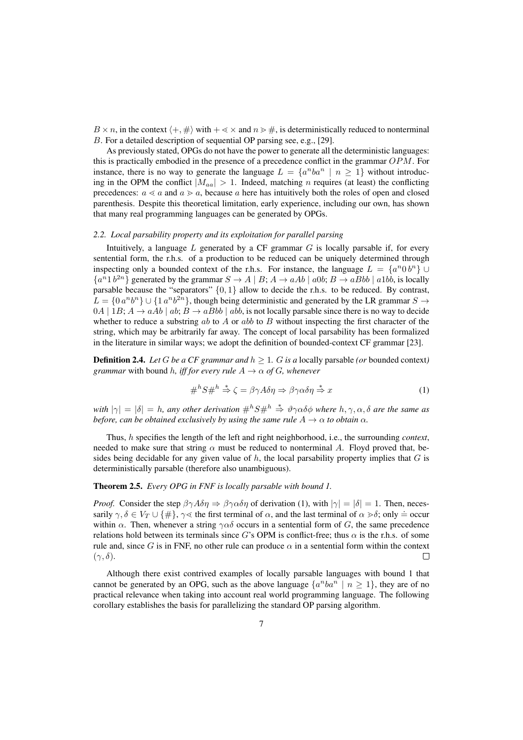$B \times n$ , in the context  $\langle +, \# \rangle$  with  $+ \langle \times \rangle$  and  $n \rangle \neq i$ , is deterministically reduced to nonterminal B. For a detailed description of sequential OP parsing see, e.g., [29].

As previously stated, OPGs do not have the power to generate all the deterministic languages: this is practically embodied in the presence of a precedence conflict in the grammar OPM. For instance, there is no way to generate the language  $L = \{a^nba^n \mid n \ge 1\}$  without introducing in the OPM the conflict  $|M_{aa}| > 1$ . Indeed, matching *n* requires (at least) the conflicting precedences:  $a \le a$  and  $a \ge a$ , because a here has intuitively both the roles of open and closed parenthesis. Despite this theoretical limitation, early experience, including our own, has shown that many real programming languages can be generated by OPGs.

## *2.2. Local parsability property and its exploitation for parallel parsing*

Intuitively, a language  $L$  generated by a CF grammar  $G$  is locally parsable if, for every sentential form, the r.h.s. of a production to be reduced can be uniquely determined through inspecting only a bounded context of the r.h.s. For instance, the language  $L = \{a^n 0 b^n\} \cup$  ${a<sup>n</sup>1 b<sup>2n</sup>}$  generated by the grammar  $S \to A \mid B$ ;  $A \to aAb \mid a0b$ ;  $B \to aBbb \mid a1bb$ , is locally parsable because the "separators" {0, 1} allow to decide the r.h.s. to be reduced. By contrast,  $L = \{0, a^n b^n\} \cup \{1, a^n b^{2n}\}\$ , though being deterministic and generated by the LR grammar  $S \to$  $0A \mid 1B$ ;  $A \rightarrow aAb \mid ab$ ;  $B \rightarrow aBbb \mid abb$ , is not locally parsable since there is no way to decide whether to reduce a substring ab to  $A$  or abb to  $B$  without inspecting the first character of the string, which may be arbitrarily far away. The concept of local parsability has been formalized in the literature in similar ways; we adopt the definition of bounded-context CF grammar [23].

**Definition 2.4.** *Let* G *be a CF grammar and*  $h \geq 1$ *. G is a* locally parsable (*or* bounded context) *grammar* with bound *h, iff for every rule*  $A \rightarrow \alpha$  *of G, whenever* 

$$
\#^h S \#^h \stackrel{*}{\Rightarrow} \zeta = \beta \gamma A \delta \eta \Rightarrow \beta \gamma \alpha \delta \eta \stackrel{*}{\Rightarrow} x \tag{1}
$$

*with*  $|\gamma| = |\delta| = h$ , any other derivation  $\#^h S \#^h \stackrel{*}{\Rightarrow} \vartheta \gamma \alpha \delta \phi$  where  $h, \gamma, \alpha, \delta$  are the same as *before, can be obtained exclusively by using the same rule*  $A \rightarrow \alpha$  *to obtain*  $\alpha$ *.* 

Thus, h specifies the length of the left and right neighborhood, i.e., the surrounding *context*, needed to make sure that string  $\alpha$  must be reduced to nonterminal A. Floyd proved that, besides being decidable for any given value of  $h$ , the local parsability property implies that  $G$  is deterministically parsable (therefore also unambiguous).

## Theorem 2.5. *Every OPG in FNF is locally parsable with bound 1.*

*Proof.* Consider the step  $\beta \gamma A \delta \eta \Rightarrow \beta \gamma \alpha \delta \eta$  of derivation (1), with  $|\gamma| = |\delta| = 1$ . Then, necessarily  $\gamma, \delta \in V_T \cup \{\#\}, \gamma \leq \delta$  the first terminal of  $\alpha$ , and the last terminal of  $\alpha \geq \delta$ ; only  $\dot{=}$  occur within  $\alpha$ . Then, whenever a string  $\gamma \alpha \delta$  occurs in a sentential form of G, the same precedence relations hold between its terminals since G's OPM is conflict-free; thus  $\alpha$  is the r.h.s. of some rule and, since G is in FNF, no other rule can produce  $\alpha$  in a sentential form within the context  $(\gamma, \delta).$  $\Box$ 

Although there exist contrived examples of locally parsable languages with bound 1 that cannot be generated by an OPG, such as the above language  $\{a^nba^n \mid n \ge 1\}$ , they are of no practical relevance when taking into account real world programming language. The following corollary establishes the basis for parallelizing the standard OP parsing algorithm.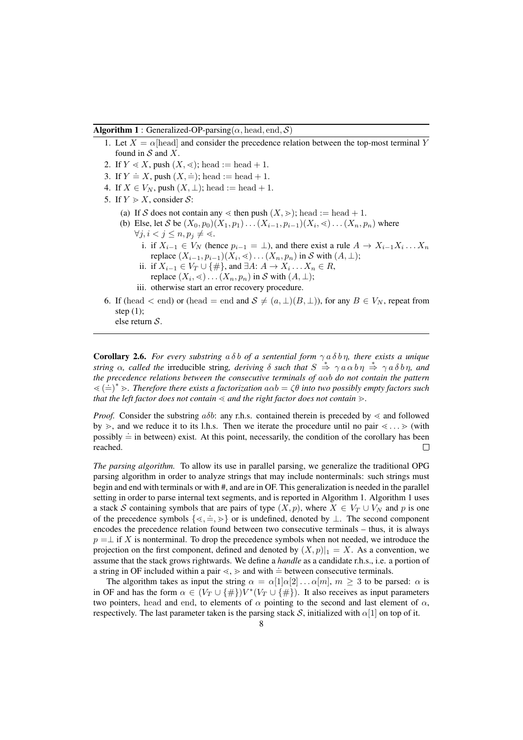#### **Algorithm 1** : Generalized-OP-parsing( $\alpha$ , head, end, S)

- 1. Let  $X = \alpha$ [head] and consider the precedence relation between the top-most terminal Y found in  $S$  and  $X$ .
- 2. If  $Y \ll X$ , push  $(X, \ll)$ ; head := head + 1.
- 3. If  $Y = X$ , push  $(X, \doteq)$ ; head := head + 1.
- 4. If  $X \in V_N$ , push  $(X, \perp)$ ; head := head + 1.
- 5. If  $Y \geq X$ , consider S:
	- (a) If S does not contain any  $\leq$  then push  $(X, \geq)$ ; head := head + 1.
	- (b) Else, let S be  $(X_0, p_0)(X_1, p_1) \dots (X_{i-1}, p_{i-1})(X_i, \leq) \dots (X_n, p_n)$  where  $\forall j, i < j \leq n, p_i \neq \leq$ .
		- i. if  $X_{i-1} \in V_N$  (hence  $p_{i-1} = \bot$ ), and there exist a rule  $A \to X_{i-1}X_i \dots X_n$ replace  $(X_{i-1}, p_{i-1})(X_i, \leq) \dots (X_n, p_n)$  in S with  $(A, \perp);$
		- ii. if  $X_{i-1} \in V_T \cup \{\#\}$ , and  $\exists A: A \to X_i \dots X_n \in R$ ,
		- replace  $(X_i, \leq) \ldots (X_n, p_n)$  in S with  $(A, \perp)$ ;
		- iii. otherwise start an error recovery procedure.
- 6. If (head  $\lt$  end) or (head = end and  $S \neq (a, \perp)(B, \perp)$ ), for any  $B \in V_N$ , repeat from step (1); else return S.

**Corollary 2.6.** *For every substring*  $a \delta b$  *of a sentential form*  $\gamma a \delta b \eta$ *, there exists a unique string*  $\alpha$ , called the irreducible string, deriving  $\delta$  such that  $S \stackrel{*}{\Rightarrow} \gamma a \alpha b \eta \stackrel{*}{\Rightarrow} \gamma a \delta b \eta$ , and *the precedence relations between the consecutive terminals of* aαb *do not contain the pattern*  $\langle \langle \pm \rangle^* \rangle$ . Therefore there exists a factorization  $a\alpha b = \zeta \theta$  into two possibly empty factors such  $\langle \pm \rangle^*$ . *that the left factor does not contain*  $\leq$  *and the right factor does not contain*  $\geq$ *.* 

*Proof.* Consider the substring  $a\delta b$ : any r.h.s. contained therein is preceded by  $\lt$  and followed by  $\gg$ , and we reduce it to its l.h.s. Then we iterate the procedure until no pair  $\ll$ ...  $\gg$  (with possibly  $\dot{=}$  in between) exist. At this point, necessarily, the condition of the corollary has been reached.  $\Box$ 

*The parsing algorithm.* To allow its use in parallel parsing, we generalize the traditional OPG parsing algorithm in order to analyze strings that may include nonterminals: such strings must begin and end with terminals or with #, and are in OF. This generalization is needed in the parallel setting in order to parse internal text segments, and is reported in Algorithm 1. Algorithm 1 uses a stack S containing symbols that are pairs of type  $(X, p)$ , where  $X \in V_T \cup V_N$  and p is one of the precedence symbols that are pairs or type  $(x, p)$ , where  $x \in V_1 \cup V_N$  and p is one<br>of the precedence symbols  $\{\langle \cdot, \cdot \rangle\}$  or is undefined, denoted by ⊥. The second component encodes the precedence relation found between two consecutive terminals – thus, it is always  $p = \perp$  if X is nonterminal. To drop the precedence symbols when not needed, we introduce the projection on the first component, defined and denoted by  $(X, p)|_1 = X$ . As a convention, we assume that the stack grows rightwards. We define a *handle* as a candidate r.h.s., i.e. a portion of a string in OF included within a pair  $\langle , \rangle$  and with  $\dot{=}$  between consecutive terminals.

The algorithm takes as input the string  $\alpha = \alpha[1]\alpha[2] \dots \alpha[m], m \geq 3$  to be parsed:  $\alpha$  is in OF and has the form  $\alpha \in (V_T \cup \{\#\})V^*(V_T \cup \{\#\})$ . It also receives as input parameters two pointers, head and end, to elements of  $\alpha$  pointing to the second and last element of  $\alpha$ , respectively. The last parameter taken is the parsing stack S, initialized with  $\alpha[1]$  on top of it.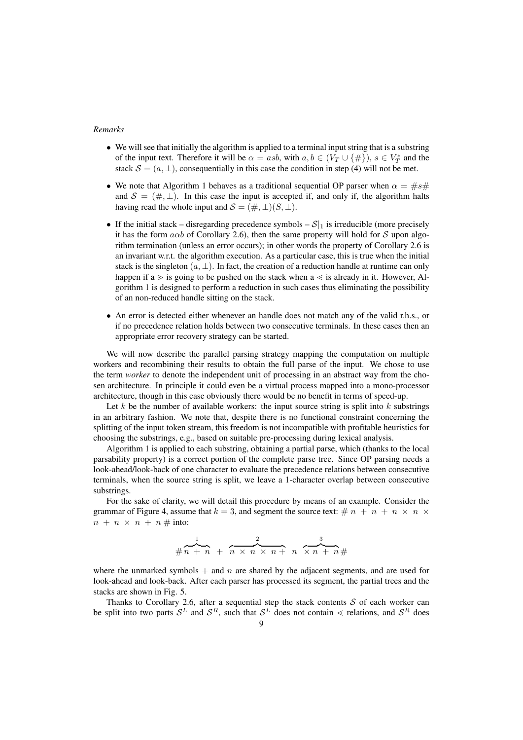## *Remarks*

- We will see that initially the algorithm is applied to a terminal input string that is a substring of the input text. Therefore it will be  $\alpha = asb$ , with  $a, b \in (V_T \cup \{\#\}), s \in V_T^*$  and the stack  $S = (a, \perp)$ , consequentially in this case the condition in step (4) will not be met.
- We note that Algorithm 1 behaves as a traditional sequential OP parser when  $\alpha = \#s\#$ and  $S = (\#,\perp)$ . In this case the input is accepted if, and only if, the algorithm halts having read the whole input and  $S = (\#,\perp)(S,\perp)$ .
- If the initial stack disregarding precedence symbols  $S|_1$  is irreducible (more precisely it has the form  $a\alpha b$  of Corollary 2.6), then the same property will hold for S upon algorithm termination (unless an error occurs); in other words the property of Corollary 2.6 is an invariant w.r.t. the algorithm execution. As a particular case, this is true when the initial stack is the singleton  $(a, \perp)$ . In fact, the creation of a reduction handle at runtime can only happen if a  $\geq$  is going to be pushed on the stack when a  $\lt$  is already in it. However, Algorithm 1 is designed to perform a reduction in such cases thus eliminating the possibility of an non-reduced handle sitting on the stack.
- An error is detected either whenever an handle does not match any of the valid r.h.s., or if no precedence relation holds between two consecutive terminals. In these cases then an appropriate error recovery strategy can be started.

We will now describe the parallel parsing strategy mapping the computation on multiple workers and recombining their results to obtain the full parse of the input. We chose to use the term *worker* to denote the independent unit of processing in an abstract way from the chosen architecture. In principle it could even be a virtual process mapped into a mono-processor architecture, though in this case obviously there would be no benefit in terms of speed-up.

Let k be the number of available workers: the input source string is split into  $k$  substrings in an arbitrary fashion. We note that, despite there is no functional constraint concerning the splitting of the input token stream, this freedom is not incompatible with profitable heuristics for choosing the substrings, e.g., based on suitable pre-processing during lexical analysis.

Algorithm 1 is applied to each substring, obtaining a partial parse, which (thanks to the local parsability property) is a correct portion of the complete parse tree. Since OP parsing needs a look-ahead/look-back of one character to evaluate the precedence relations between consecutive terminals, when the source string is split, we leave a 1-character overlap between consecutive substrings.

For the sake of clarity, we will detail this procedure by means of an example. Consider the grammar of Figure 4, assume that  $k = 3$ , and segment the source text:  $\# n + n + n \times n \times n$  $n + n \times n + n \neq$  into:

$$
\# \overbrace{n+n}^{1} + \overbrace{n \times n}^{2} \times \overbrace{n+n}^{3} + \overbrace{n \times n}^{3} + \overbrace{n+n}^{4}
$$

where the unmarked symbols  $+$  and n are shared by the adjacent segments, and are used for look-ahead and look-back. After each parser has processed its segment, the partial trees and the stacks are shown in Fig. 5.

Thanks to Corollary 2.6, after a sequential step the stack contents  $S$  of each worker can be split into two parts  $S^L$  and  $S^R$ , such that  $S^L$  does not contain  $\leq$  relations, and  $S^R$  does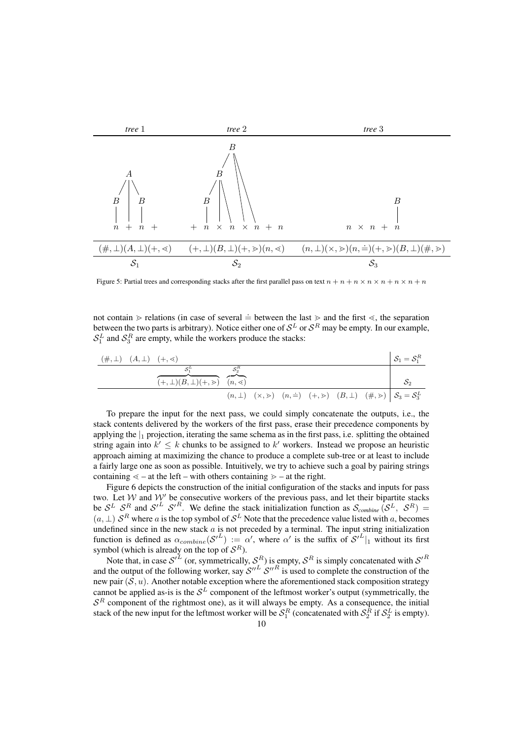

Figure 5: Partial trees and corresponding stacks after the first parallel pass on text  $n + n + n \times n \times n + n \times n + n$ 

not contain  $\geq$  relations (in case of several  $\dot{=}$  between the last  $\geq$  and the first  $\leq$ , the separation between the two parts is arbitrary). Notice either one of  $S^L$  or  $S^R$  may be empty. In our example,  $S_1^L$  and  $S_3^R$  are empty, while the workers produce the stacks:

(#, <sup>⊥</sup>) (A, <sup>⊥</sup>) (+, <sup>l</sup>) <sup>S</sup><sup>1</sup> <sup>=</sup> <sup>S</sup> R 1 S L 1 z }| { (+, <sup>⊥</sup>)(B, <sup>⊥</sup>)(+, <sup>m</sup>) S<sup>R</sup> 2 z }| { (n, <sup>l</sup>) <sup>S</sup><sup>2</sup> (n, <sup>⊥</sup>) (×, <sup>m</sup>) (n, .=) (+, <sup>m</sup>) (B, <sup>⊥</sup>) (#, <sup>m</sup>) <sup>S</sup><sup>3</sup> <sup>=</sup> <sup>S</sup> L 3

To prepare the input for the next pass, we could simply concatenate the outputs, i.e., the stack contents delivered by the workers of the first pass, erase their precedence components by applying the  $\vert_1$  projection, iterating the same schema as in the first pass, i.e. splitting the obtained string again into  $k' \leq k$  chunks to be assigned to  $k'$  workers. Instead we propose an heuristic approach aiming at maximizing the chance to produce a complete sub-tree or at least to include a fairly large one as soon as possible. Intuitively, we try to achieve such a goal by pairing strings containing  $\le -$  at the left – with others containing  $\ge -$  at the right.

Figure 6 depicts the construction of the initial configuration of the stacks and inputs for pass two. Let W and W' be consecutive workers of the previous pass, and let their bipartite stacks be  $S^L$   $S^R$  and  $S'^L$   $S'^R$ . We define the stack initialization function as  $S_{combine}(\mathcal{S}^L, \mathcal{S}^R)$  =  $(a, \perp)$   $S<sup>R</sup>$  where a is the top symbol of  $S<sup>L</sup>$  Note that the precedence value listed with a, becomes undefined since in the new stack  $a$  is not preceded by a terminal. The input string initialization function is defined as  $\alpha_{combine}(\mathcal{S}^{(L)}):=\alpha'$ , where  $\alpha'$  is the suffix of  $\mathcal{S}^{(L)}|_1$  without its first symbol (which is already on the top of  $S^R$ ).

Note that, in case  $S^{iL}$  (or, symmetrically,  $S^R$ ) is empty,  $S^R$  is simply concatenated with  $S'^R$ and the output of the following worker, say  $S''^L S''^R$  is used to complete the construction of the new pair  $(\overline{S}, u)$ . Another notable exception where the aforementioned stack composition strategy cannot be applied as-is is the  $S^L$  component of the leftmost worker's output (symmetrically, the  $S<sup>R</sup>$  component of the rightmost one), as it will always be empty. As a consequence, the initial stack of the new input for the leftmost worker will be  $S_1^R$  (concatenated with  $S_2^R$  if  $S_2^L$  is empty).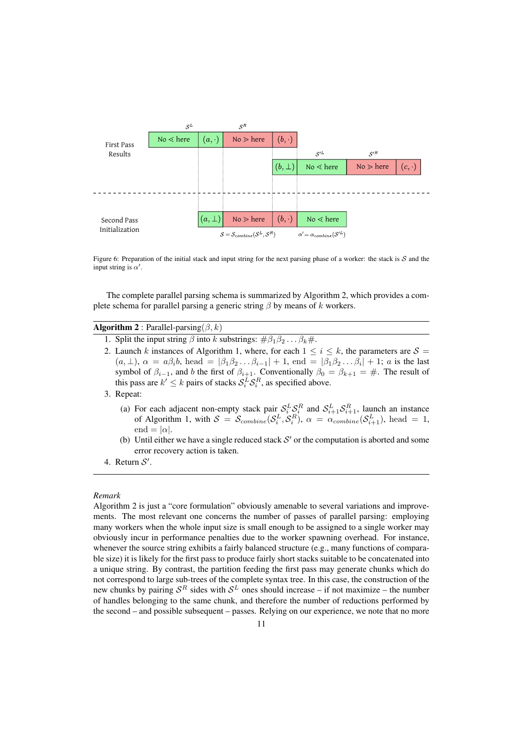

Figure 6: Preparation of the initial stack and input string for the next parsing phase of a worker: the stack is  $S$  and the input string is  $\alpha'$ .

The complete parallel parsing schema is summarized by Algorithm 2, which provides a complete schema for parallel parsing a generic string  $\beta$  by means of k workers.

## **Algorithm 2** : Parallel-parsing( $\beta$ , k)

- 1. Split the input string  $\beta$  into k substrings:  $\#\beta_1\beta_2 \dots \beta_k\#$ .
- 2. Launch k instances of Algorithm 1, where, for each  $1 \le i \le k$ , the parameters are  $S =$  $(a, \perp), \alpha = a\beta_i b$ , head  $= |\beta_1 \beta_2 \dots \beta_{i-1}| + 1$ , end  $= |\beta_1 \beta_2 \dots \beta_i| + 1$ ; a is the last symbol of  $\beta_{i-1}$ , and b the first of  $\beta_{i+1}$ . Conventionally  $\beta_0 = \beta_{k+1} = \#$ . The result of this pass are  $k' \leq k$  pairs of stacks  $S_i^L S_i^R$ , as specified above.
- 3. Repeat:
	- (a) For each adjacent non-empty stack pair  $S_i^L S_i^R$  and  $S_{i+1}^L S_{i+1}^R$ , launch an instance of Algorithm 1, with  $S = S_{combine}(\mathcal{S}_i^L, \mathcal{S}_i^R)$ ,  $\alpha = \alpha_{combine}(\mathcal{S}_{i+1}^L)$ , head = 1, end =  $|\alpha|$ .
	- (b) Until either we have a single reduced stack  $S'$  or the computation is aborted and some error recovery action is taken.
- 4. Return  $S'$ .

## *Remark*

Algorithm 2 is just a "core formulation" obviously amenable to several variations and improvements. The most relevant one concerns the number of passes of parallel parsing: employing many workers when the whole input size is small enough to be assigned to a single worker may obviously incur in performance penalties due to the worker spawning overhead. For instance, whenever the source string exhibits a fairly balanced structure (e.g., many functions of comparable size) it is likely for the first pass to produce fairly short stacks suitable to be concatenated into a unique string. By contrast, the partition feeding the first pass may generate chunks which do not correspond to large sub-trees of the complete syntax tree. In this case, the construction of the new chunks by pairing  $S<sup>R</sup>$  sides with  $S<sup>L</sup>$  ones should increase – if not maximize – the number of handles belonging to the same chunk, and therefore the number of reductions performed by the second – and possible subsequent – passes. Relying on our experience, we note that no more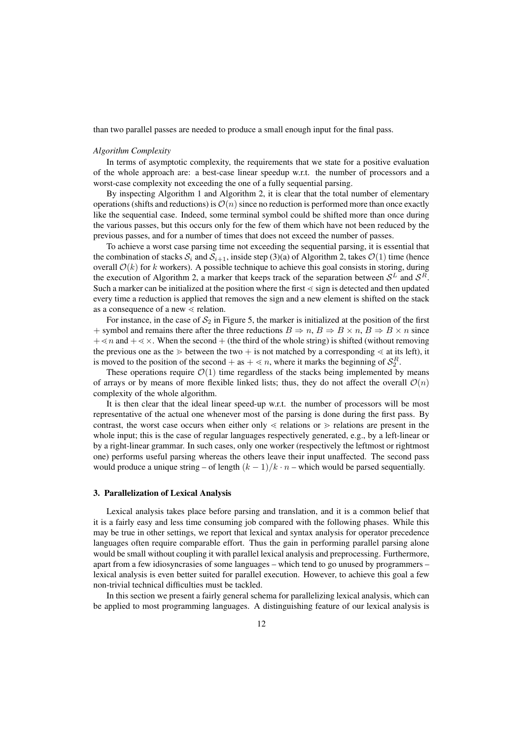than two parallel passes are needed to produce a small enough input for the final pass.

#### *Algorithm Complexity*

In terms of asymptotic complexity, the requirements that we state for a positive evaluation of the whole approach are: a best-case linear speedup w.r.t. the number of processors and a worst-case complexity not exceeding the one of a fully sequential parsing.

By inspecting Algorithm 1 and Algorithm 2, it is clear that the total number of elementary operations (shifts and reductions) is  $\mathcal{O}(n)$  since no reduction is performed more than once exactly like the sequential case. Indeed, some terminal symbol could be shifted more than once during the various passes, but this occurs only for the few of them which have not been reduced by the previous passes, and for a number of times that does not exceed the number of passes.

To achieve a worst case parsing time not exceeding the sequential parsing, it is essential that the combination of stacks  $S_i$  and  $S_{i+1}$ , inside step (3)(a) of Algorithm 2, takes  $\mathcal{O}(1)$  time (hence overall  $\mathcal{O}(k)$  for k workers). A possible technique to achieve this goal consists in storing, during the execution of Algorithm 2, a marker that keeps track of the separation between  $S<sup>L</sup>$  and  $S<sup>R</sup>$ . Such a marker can be initialized at the position where the first  $\le$  sign is detected and then updated every time a reduction is applied that removes the sign and a new element is shifted on the stack as a consequence of a new  $\le$  relation.

For instance, in the case of  $S_2$  in Figure 5, the marker is initialized at the position of the first + symbol and remains there after the three reductions  $B \Rightarrow n, B \Rightarrow B \times n, B \Rightarrow B \times n$  since  $+\leq n$  and  $+\leq \times$ . When the second + (the third of the whole string) is shifted (without removing the previous one as the  $\geq$  between the two  $+$  is not matched by a corresponding  $\lt$  at its left), it is moved to the position of the second + as +  $\lt n$ , where it marks the beginning of  $S_2^R$ .

These operations require  $\mathcal{O}(1)$  time regardless of the stacks being implemented by means of arrays or by means of more flexible linked lists; thus, they do not affect the overall  $\mathcal{O}(n)$ complexity of the whole algorithm.

It is then clear that the ideal linear speed-up w.r.t. the number of processors will be most representative of the actual one whenever most of the parsing is done during the first pass. By contrast, the worst case occurs when either only  $\lt$  relations or  $\gt$  relations are present in the whole input; this is the case of regular languages respectively generated, e.g., by a left-linear or by a right-linear grammar. In such cases, only one worker (respectively the leftmost or rightmost one) performs useful parsing whereas the others leave their input unaffected. The second pass would produce a unique string – of length  $(k - 1)/k \cdot n$  – which would be parsed sequentially.

#### 3. Parallelization of Lexical Analysis

Lexical analysis takes place before parsing and translation, and it is a common belief that it is a fairly easy and less time consuming job compared with the following phases. While this may be true in other settings, we report that lexical and syntax analysis for operator precedence languages often require comparable effort. Thus the gain in performing parallel parsing alone would be small without coupling it with parallel lexical analysis and preprocessing. Furthermore, apart from a few idiosyncrasies of some languages – which tend to go unused by programmers – lexical analysis is even better suited for parallel execution. However, to achieve this goal a few non-trivial technical difficulties must be tackled.

In this section we present a fairly general schema for parallelizing lexical analysis, which can be applied to most programming languages. A distinguishing feature of our lexical analysis is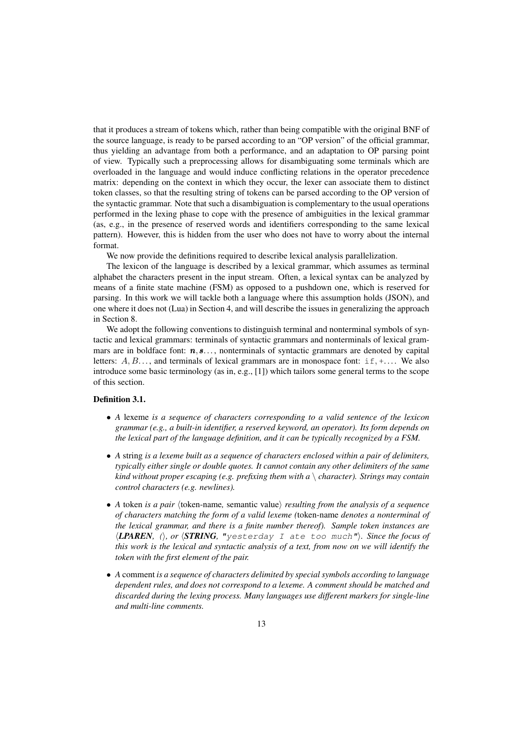that it produces a stream of tokens which, rather than being compatible with the original BNF of the source language, is ready to be parsed according to an "OP version" of the official grammar, thus yielding an advantage from both a performance, and an adaptation to OP parsing point of view. Typically such a preprocessing allows for disambiguating some terminals which are overloaded in the language and would induce conflicting relations in the operator precedence matrix: depending on the context in which they occur, the lexer can associate them to distinct token classes, so that the resulting string of tokens can be parsed according to the OP version of the syntactic grammar. Note that such a disambiguation is complementary to the usual operations performed in the lexing phase to cope with the presence of ambiguities in the lexical grammar (as, e.g., in the presence of reserved words and identifiers corresponding to the same lexical pattern). However, this is hidden from the user who does not have to worry about the internal format.

We now provide the definitions required to describe lexical analysis parallelization.

The lexicon of the language is described by a lexical grammar, which assumes as terminal alphabet the characters present in the input stream. Often, a lexical syntax can be analyzed by means of a finite state machine (FSM) as opposed to a pushdown one, which is reserved for parsing. In this work we will tackle both a language where this assumption holds (JSON), and one where it does not (Lua) in Section 4, and will describe the issues in generalizing the approach in Section 8.

We adopt the following conventions to distinguish terminal and nonterminal symbols of syntactic and lexical grammars: terminals of syntactic grammars and nonterminals of lexical grammars are in boldface font:  $n, s...$ , nonterminals of syntactic grammars are denoted by capital letters:  $A, B, \ldots$ , and terminals of lexical grammars are in monospace font: if, +.... We also introduce some basic terminology (as in, e.g., [1]) which tailors some general terms to the scope of this section.

## Definition 3.1.

- *A* lexeme *is a sequence of characters corresponding to a valid sentence of the lexicon grammar (e.g., a built-in identifier, a reserved keyword, an operator). Its form depends on the lexical part of the language definition, and it can be typically recognized by a FSM.*
- *A* string *is a lexeme built as a sequence of characters enclosed within a pair of delimiters, typically either single or double quotes. It cannot contain any other delimiters of the same kind without proper escaping (e.g. prefixing them with a* \ *character). Strings may contain control characters (e.g. newlines).*
- *A* token *is a pair*  $\langle$  token-name, semantic value $\rangle$  *resulting from the analysis of a sequence of characters matching the form of a valid lexeme (*token-name *denotes a nonterminal of the lexical grammar, and there is a finite number thereof). Sample token instances are*  $\langle$ **LPAREN***,* (*i*, or  $\langle$ **STRING***,* "yesterday I ate too much"). Since the focus of *this work is the lexical and syntactic analysis of a text, from now on we will identify the token with the first element of the pair.*
- *A* comment *is a sequence of characters delimited by special symbols according to language dependent rules, and does not correspond to a lexeme. A comment should be matched and discarded during the lexing process. Many languages use different markers for single-line and multi-line comments.*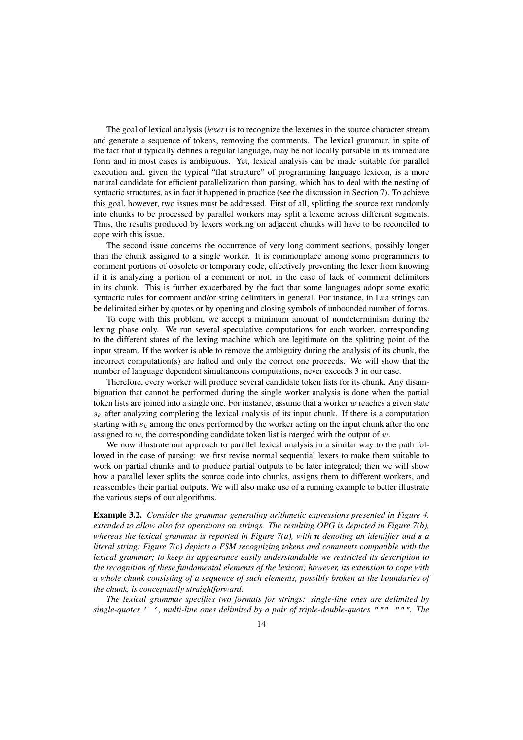The goal of lexical analysis (*lexer*) is to recognize the lexemes in the source character stream and generate a sequence of tokens, removing the comments. The lexical grammar, in spite of the fact that it typically defines a regular language, may be not locally parsable in its immediate form and in most cases is ambiguous. Yet, lexical analysis can be made suitable for parallel execution and, given the typical "flat structure" of programming language lexicon, is a more natural candidate for efficient parallelization than parsing, which has to deal with the nesting of syntactic structures, as in fact it happened in practice (see the discussion in Section 7). To achieve this goal, however, two issues must be addressed. First of all, splitting the source text randomly into chunks to be processed by parallel workers may split a lexeme across different segments. Thus, the results produced by lexers working on adjacent chunks will have to be reconciled to cope with this issue.

The second issue concerns the occurrence of very long comment sections, possibly longer than the chunk assigned to a single worker. It is commonplace among some programmers to comment portions of obsolete or temporary code, effectively preventing the lexer from knowing if it is analyzing a portion of a comment or not, in the case of lack of comment delimiters in its chunk. This is further exacerbated by the fact that some languages adopt some exotic syntactic rules for comment and/or string delimiters in general. For instance, in Lua strings can be delimited either by quotes or by opening and closing symbols of unbounded number of forms.

To cope with this problem, we accept a minimum amount of nondeterminism during the lexing phase only. We run several speculative computations for each worker, corresponding to the different states of the lexing machine which are legitimate on the splitting point of the input stream. If the worker is able to remove the ambiguity during the analysis of its chunk, the incorrect computation(s) are halted and only the correct one proceeds. We will show that the number of language dependent simultaneous computations, never exceeds 3 in our case.

Therefore, every worker will produce several candidate token lists for its chunk. Any disambiguation that cannot be performed during the single worker analysis is done when the partial token lists are joined into a single one. For instance, assume that a worker  $w$  reaches a given state  $s_k$  after analyzing completing the lexical analysis of its input chunk. If there is a computation starting with  $s_k$  among the ones performed by the worker acting on the input chunk after the one assigned to  $w$ , the corresponding candidate token list is merged with the output of  $w$ .

We now illustrate our approach to parallel lexical analysis in a similar way to the path followed in the case of parsing: we first revise normal sequential lexers to make them suitable to work on partial chunks and to produce partial outputs to be later integrated; then we will show how a parallel lexer splits the source code into chunks, assigns them to different workers, and reassembles their partial outputs. We will also make use of a running example to better illustrate the various steps of our algorithms.

Example 3.2. *Consider the grammar generating arithmetic expressions presented in Figure 4, extended to allow also for operations on strings. The resulting OPG is depicted in Figure 7(b), whereas the lexical grammar is reported in Figure 7(a), with*  $\bf{n}$  *denoting an identifier and*  $\bf{s}$  *a literal string; Figure 7(c) depicts a FSM recognizing tokens and comments compatible with the lexical grammar; to keep its appearance easily understandable we restricted its description to the recognition of these fundamental elements of the lexicon; however, its extension to cope with a whole chunk consisting of a sequence of such elements, possibly broken at the boundaries of the chunk, is conceptually straightforward.*

*The lexical grammar specifies two formats for strings: single-line ones are delimited by single-quotes* ' '*, multi-line ones delimited by a pair of triple-double-quotes* """ """*. The*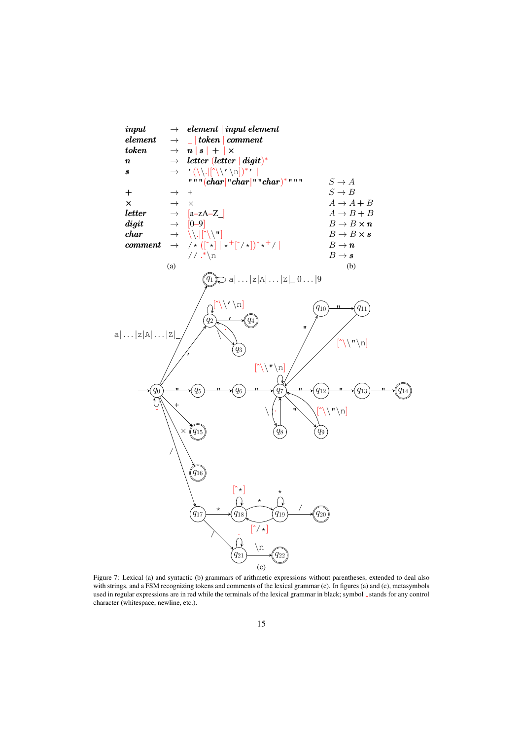

Figure 7: Lexical (a) and syntactic (b) grammars of arithmetic expressions without parentheses, extended to deal also with strings, and a FSM recognizing tokens and comments of the lexical grammar (c). In figures (a) and (c), metasymbols used in regular expressions are in red while the terminals of the lexical grammar in black; symbol \_ stands for any control character (whitespace, newline, etc.).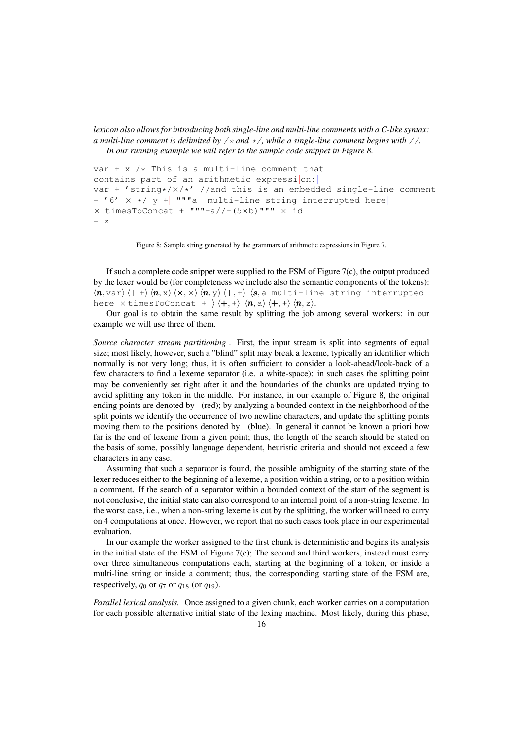*lexicon also allows for introducing both single-line and multi-line comments with a C-like syntax: a multi-line comment is delimited by* /\* *and* \*/*, while a single-line comment begins with* //*. In our running example we will refer to the sample code snippet in Figure 8.*

```
var + x /\star This is a multi-line comment that
contains part of an arithmetic expression:
var + 'string*/\times/*' //and this is an embedded single-line comment
+ '6' \times */ y + \blacksquare \blacksquare multi-line string interrupted here
\times timesToConcat + """+a//-(5xb)""" \times id
+ z
```
Figure 8: Sample string generated by the grammars of arithmetic expressions in Figure 7.

If such a complete code snippet were supplied to the FSM of Figure  $7(c)$ , the output produced by the lexer would be (for completeness we include also the semantic components of the tokens):  $\langle n, \text{var} \rangle$   $\langle + + \rangle$   $\langle n, \text{z} \rangle$   $\langle \text{x}, \times \rangle$   $\langle n, \text{y} \rangle$   $\langle +, + \rangle$   $\langle s, \text{z} \rangle$  multi-line string interrupted here  $\times$  timesToConcat +  $\langle +, + \rangle$   $\langle n, a \rangle$   $\langle +, + \rangle$   $\langle n, z \rangle$ .

Our goal is to obtain the same result by splitting the job among several workers: in our example we will use three of them.

*Source character stream partitioning .* First, the input stream is split into segments of equal size; most likely, however, such a "blind" split may break a lexeme, typically an identifier which normally is not very long; thus, it is often sufficient to consider a look-ahead/look-back of a few characters to find a lexeme separator (i.e. a white-space): in such cases the splitting point may be conveniently set right after it and the boundaries of the chunks are updated trying to avoid splitting any token in the middle. For instance, in our example of Figure 8, the original ending points are denoted by  $\vert$  (red); by analyzing a bounded context in the neighborhood of the split points we identify the occurrence of two newline characters, and update the splitting points moving them to the positions denoted by  $\vert$  (blue). In general it cannot be known a priori how far is the end of lexeme from a given point; thus, the length of the search should be stated on the basis of some, possibly language dependent, heuristic criteria and should not exceed a few characters in any case.

Assuming that such a separator is found, the possible ambiguity of the starting state of the lexer reduces either to the beginning of a lexeme, a position within a string, or to a position within a comment. If the search of a separator within a bounded context of the start of the segment is not conclusive, the initial state can also correspond to an internal point of a non-string lexeme. In the worst case, i.e., when a non-string lexeme is cut by the splitting, the worker will need to carry on 4 computations at once. However, we report that no such cases took place in our experimental evaluation.

In our example the worker assigned to the first chunk is deterministic and begins its analysis in the initial state of the FSM of Figure 7(c); The second and third workers, instead must carry over three simultaneous computations each, starting at the beginning of a token, or inside a multi-line string or inside a comment; thus, the corresponding starting state of the FSM are, respectively,  $q_0$  or  $q_7$  or  $q_{18}$  (or  $q_{19}$ ).

*Parallel lexical analysis.* Once assigned to a given chunk, each worker carries on a computation for each possible alternative initial state of the lexing machine. Most likely, during this phase,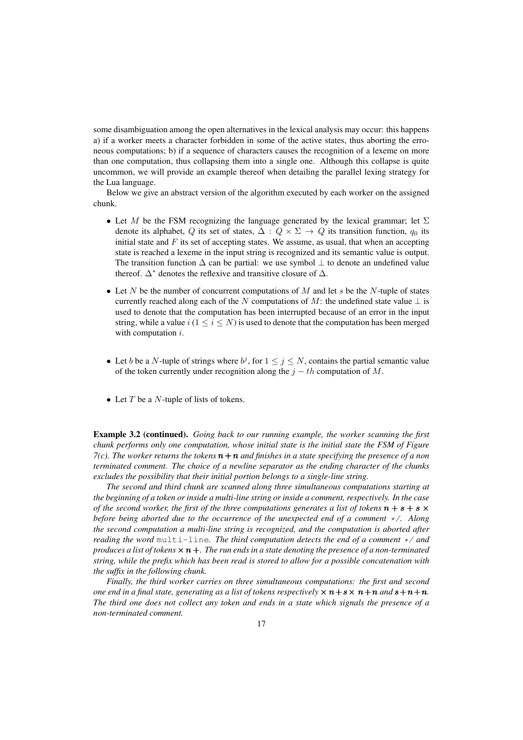some disambiguation among the open alternatives in the lexical analysis may occur: this happens a) if a worker meets a character forbidden in some of the active states, thus aborting the erroneous computations; b) if a sequence of characters causes the recognition of a lexeme on more than one computation, thus collapsing them into a single one. Although this collapse is quite uncommon, we will provide an example thereof when detailing the parallel lexing strategy for the Lua language.

Below we give an abstract version of the algorithm executed by each worker on the assigned chunk.

- Let M be the FSM recognizing the language generated by the lexical grammar; let  $\Sigma$ denote its alphabet, Q its set of states,  $\Delta: Q \times \Sigma \rightarrow Q$  its transition function,  $q_0$  its initial state and  $F$  its set of accepting states. We assume, as usual, that when an accepting state is reached a lexeme in the input string is recognized and its semantic value is output. The transition function  $\Delta$  can be partial: we use symbol  $\perp$  to denote an undefined value thereof.  $\Delta^*$  denotes the reflexive and transitive closure of  $\Delta$ .
- Let N be the number of concurrent computations of M and let s be the N-tuple of states currently reached along each of the N computations of M: the undefined state value  $\perp$  is used to denote that the computation has been interrupted because of an error in the input string, while a value i  $(1 \le i \le N)$  is used to denote that the computation has been merged with computation *i*.
- Let b be a N-tuple of strings where  $b^j$ , for  $1 \le j \le N$ , contains the partial semantic value of the token currently under recognition along the  $j - th$  computation of M.
- Let  $T$  be a  $N$ -tuple of lists of tokens.

Example 3.2 (continued). *Going back to our running example, the worker scanning the first chunk performs only one computation, whose initial state is the initial state the FSM of Figure 7(c). The worker returns the tokens*  $n + n$  *and finishes in a state specifying the presence of a non terminated comment. The choice of a newline separator as the ending character of the chunks excludes the possibility that their initial portion belongs to a single-line string.*

*The second and third chunk are scanned along three simultaneous computations starting at the beginning of a token or inside a multi-line string or inside a comment, respectively. In the case of the second worker, the first of the three computations generates a list of tokens*  $\mathbf{n} + \mathbf{s} + \mathbf{s} \times \mathbf{r}$ *before being aborted due to the occurrence of the unexpected end of a comment* \*/*. Along the second computation a multi-line string is recognized, and the computation is aborted after reading the word* multi-line*. The third computation detects the end of a comment* \*/ *and produces a list of tokens*× n +*. The run ends in a state denoting the presence of a non-terminated string, while the prefix which has been read is stored to allow for a possible concatenation with the suffix in the following chunk.*

*Finally, the third worker carries on three simultaneous computations: the first and second one end in a final state, generating as a list of tokens respectively*  $\times n + s \times n + n$  *and*  $s + n + n$ . *The third one does not collect any token and ends in a state which signals the presence of a non-terminated comment.*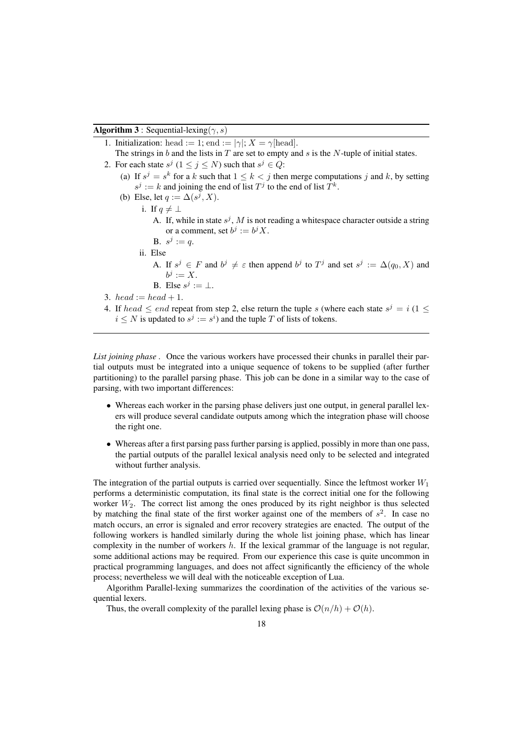**Algorithm 3**: Sequential-lexing( $\gamma$ , s)

- 1. Initialization: head := 1; end :=  $|\gamma|$ ;  $X = \gamma$ [head].
- The strings in b and the lists in  $T$  are set to empty and  $s$  is the N-tuple of initial states.
- 2. For each state  $s^j$   $(1 \le j \le N)$  such that  $s^j \in Q$ : (a) If  $s^j = s^k$  for a k such that  $1 \leq k < j$  then merge computations j and k, by setting  $s^j := k$  and joining the end of list  $T^j$  to the end of list  $T^k$ .
	- (b) Else, let  $q := \Delta(s^j, X)$ . i. If  $q \neq \perp$ 
		- A. If, while in state  $s^j$ , M is not reading a whitespace character outside a string or a comment, set  $b^j := b^j X$ .
		- **B.**  $s^j := q$ .
		- ii. Else
			- A. If  $s^j \in F$  and  $b^j \neq \varepsilon$  then append  $b^j$  to  $T^j$  and set  $s^j := \Delta(q_0, X)$  and  $b^j := X.$

B. Else 
$$
s^j := \bot
$$
.

- 3. head := head + 1.
- 4. If  $head \le end$  repeat from step 2, else return the tuple s (where each state  $s^j = i$  (1  $\le$  $i \leq N$  is updated to  $s^j := s^i$ ) and the tuple T of lists of tokens.

*List joining phase.* Once the various workers have processed their chunks in parallel their partial outputs must be integrated into a unique sequence of tokens to be supplied (after further partitioning) to the parallel parsing phase. This job can be done in a similar way to the case of parsing, with two important differences:

- Whereas each worker in the parsing phase delivers just one output, in general parallel lexers will produce several candidate outputs among which the integration phase will choose the right one.
- Whereas after a first parsing pass further parsing is applied, possibly in more than one pass, the partial outputs of the parallel lexical analysis need only to be selected and integrated without further analysis.

The integration of the partial outputs is carried over sequentially. Since the leftmost worker  $W_1$ performs a deterministic computation, its final state is the correct initial one for the following worker  $W_2$ . The correct list among the ones produced by its right neighbor is thus selected by matching the final state of the first worker against one of the members of  $s<sup>2</sup>$ . In case no match occurs, an error is signaled and error recovery strategies are enacted. The output of the following workers is handled similarly during the whole list joining phase, which has linear complexity in the number of workers  $h$ . If the lexical grammar of the language is not regular, some additional actions may be required. From our experience this case is quite uncommon in practical programming languages, and does not affect significantly the efficiency of the whole process; nevertheless we will deal with the noticeable exception of Lua.

Algorithm Parallel-lexing summarizes the coordination of the activities of the various sequential lexers.

Thus, the overall complexity of the parallel lexing phase is  $\mathcal{O}(n/h) + \mathcal{O}(h)$ .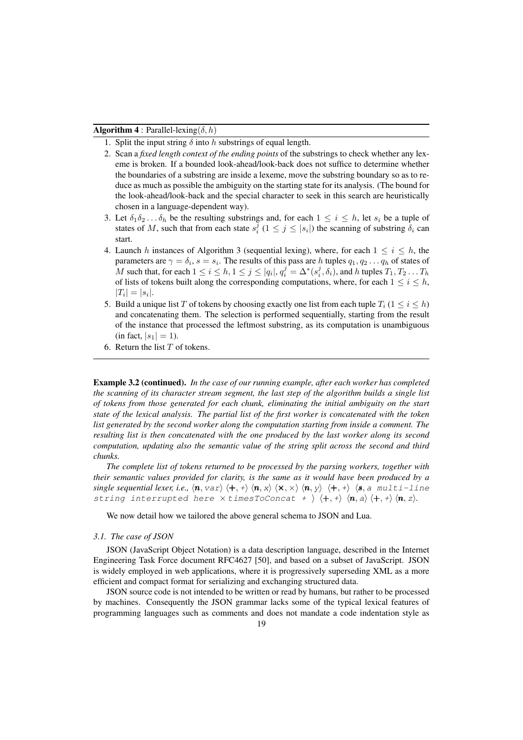**Algorithm 4** : Parallel-lexing( $\delta$ , h)

- 1. Split the input string  $\delta$  into h substrings of equal length.
- 2. Scan a *fixed length context of the ending points* of the substrings to check whether any lexeme is broken. If a bounded look-ahead/look-back does not suffice to determine whether the boundaries of a substring are inside a lexeme, move the substring boundary so as to reduce as much as possible the ambiguity on the starting state for its analysis. (The bound for the look-ahead/look-back and the special character to seek in this search are heuristically chosen in a language-dependent way).
- 3. Let  $\delta_1 \delta_2 \ldots \delta_h$  be the resulting substrings and, for each  $1 \leq i \leq h$ , let  $s_i$  be a tuple of states of M, such that from each state  $s_i^j$   $(1 \le j \le |s_i|)$  the scanning of substring  $\delta_i$  can start.
- 4. Launch h instances of Algorithm 3 (sequential lexing), where, for each  $1 \le i \le h$ , the parameters are  $\gamma = \delta_i$ ,  $s = s_i$ . The results of this pass are h tuples  $q_1, q_2 \ldots q_h$  of states of M such that, for each  $1 \le i \le h, 1 \le j \le |q_i|, q_i^j = \Delta^*(s_i^j, \delta_i)$ , and h tuples  $T_1, T_2 \dots T_h$ of lists of tokens built along the corresponding computations, where, for each  $1 \le i \le h$ ,  $|T_i| = |s_i|.$
- 5. Build a unique list T of tokens by choosing exactly one list from each tuple  $T_i$  ( $1 \le i \le h$ ) and concatenating them. The selection is performed sequentially, starting from the result of the instance that processed the leftmost substring, as its computation is unambiguous (in fact,  $|s_1| = 1$ ).
- 6. Return the list  $T$  of tokens.

Example 3.2 (continued). *In the case of our running example, after each worker has completed the scanning of its character stream segment, the last step of the algorithm builds a single list of tokens from those generated for each chunk, eliminating the initial ambiguity on the start state of the lexical analysis. The partial list of the first worker is concatenated with the token list generated by the second worker along the computation starting from inside a comment. The resulting list is then concatenated with the one produced by the last worker along its second computation, updating also the semantic value of the string split across the second and third chunks.*

*The complete list of tokens returned to be processed by the parsing workers, together with their semantic values provided for clarity, is the same as it would have been produced by a single sequential lexer, i.e.,*  $\langle n, \text{var} \rangle \langle +, + \rangle \langle n, x \rangle \langle x, \times \rangle \langle n, y \rangle \langle +, + \rangle \langle s, \text{a multi-line}$ string interrupted here  $\times$  timesToConcat +  $\langle +, + \rangle \langle n, a \rangle \langle +, + \rangle \langle n, z \rangle$ .

We now detail how we tailored the above general schema to JSON and Lua.

#### *3.1. The case of JSON*

JSON (JavaScript Object Notation) is a data description language, described in the Internet Engineering Task Force document RFC4627 [50], and based on a subset of JavaScript. JSON is widely employed in web applications, where it is progressively superseding XML as a more efficient and compact format for serializing and exchanging structured data.

JSON source code is not intended to be written or read by humans, but rather to be processed by machines. Consequently the JSON grammar lacks some of the typical lexical features of programming languages such as comments and does not mandate a code indentation style as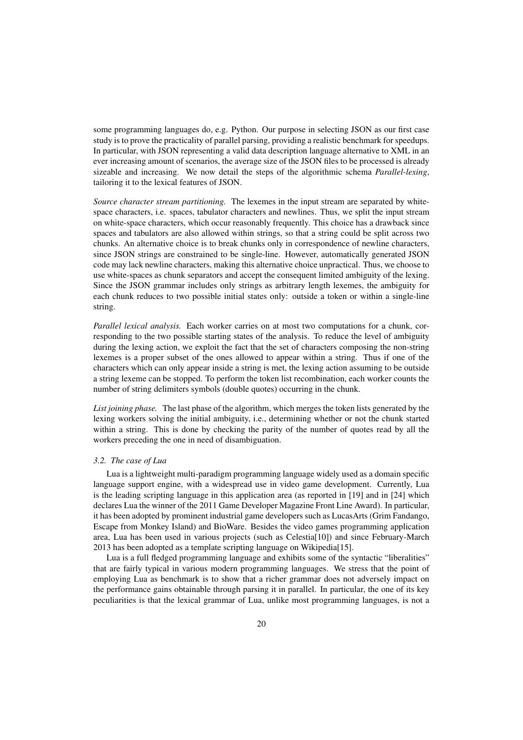some programming languages do, e.g. Python. Our purpose in selecting JSON as our first case study is to prove the practicality of parallel parsing, providing a realistic benchmark for speedups. In particular, with JSON representing a valid data description language alternative to XML in an ever increasing amount of scenarios, the average size of the JSON files to be processed is already sizeable and increasing. We now detail the steps of the algorithmic schema *Parallel-lexing*, tailoring it to the lexical features of JSON.

*Source character stream partitioning.* The lexemes in the input stream are separated by whitespace characters, i.e. spaces, tabulator characters and newlines. Thus, we split the input stream on white-space characters, which occur reasonably frequently. This choice has a drawback since spaces and tabulators are also allowed within strings, so that a string could be split across two chunks. An alternative choice is to break chunks only in correspondence of newline characters, since JSON strings are constrained to be single-line. However, automatically generated JSON code may lack newline characters, making this alternative choice unpractical. Thus, we choose to use white-spaces as chunk separators and accept the consequent limited ambiguity of the lexing. Since the JSON grammar includes only strings as arbitrary length lexemes, the ambiguity for each chunk reduces to two possible initial states only: outside a token or within a single-line string.

*Parallel lexical analysis.* Each worker carries on at most two computations for a chunk, corresponding to the two possible starting states of the analysis. To reduce the level of ambiguity during the lexing action, we exploit the fact that the set of characters composing the non-string lexemes is a proper subset of the ones allowed to appear within a string. Thus if one of the characters which can only appear inside a string is met, the lexing action assuming to be outside a string lexeme can be stopped. To perform the token list recombination, each worker counts the number of string delimiters symbols (double quotes) occurring in the chunk.

*List joining phase.* The last phase of the algorithm, which merges the token lists generated by the lexing workers solving the initial ambiguity, i.e., determining whether or not the chunk started within a string. This is done by checking the parity of the number of quotes read by all the workers preceding the one in need of disambiguation.

### *3.2. The case of Lua*

Lua is a lightweight multi-paradigm programming language widely used as a domain specific language support engine, with a widespread use in video game development. Currently, Lua is the leading scripting language in this application area (as reported in [19] and in [24] which declares Lua the winner of the 2011 Game Developer Magazine Front Line Award). In particular, it has been adopted by prominent industrial game developers such as LucasArts (Grim Fandango, Escape from Monkey Island) and BioWare. Besides the video games programming application area, Lua has been used in various projects (such as Celestia[10]) and since February-March 2013 has been adopted as a template scripting language on Wikipedia[15].

Lua is a full fledged programming language and exhibits some of the syntactic "liberalities" that are fairly typical in various modern programming languages. We stress that the point of employing Lua as benchmark is to show that a richer grammar does not adversely impact on the performance gains obtainable through parsing it in parallel. In particular, the one of its key peculiarities is that the lexical grammar of Lua, unlike most programming languages, is not a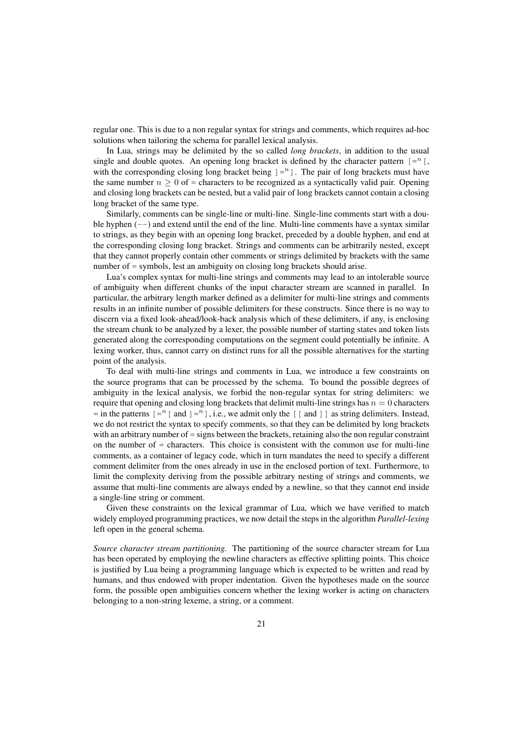regular one. This is due to a non regular syntax for strings and comments, which requires ad-hoc solutions when tailoring the schema for parallel lexical analysis.

In Lua, strings may be delimited by the so called *long brackets*, in addition to the usual single and double quotes. An opening long bracket is defined by the character pattern  $[-n]$ , with the corresponding closing long bracket being  $] = n$ . The pair of long brackets must have the same number  $n > 0$  of = characters to be recognized as a syntactically valid pair. Opening and closing long brackets can be nested, but a valid pair of long brackets cannot contain a closing long bracket of the same type.

Similarly, comments can be single-line or multi-line. Single-line comments start with a double hyphen  $(-)$  and extend until the end of the line. Multi-line comments have a syntax similar to strings, as they begin with an opening long bracket, preceded by a double hyphen, and end at the corresponding closing long bracket. Strings and comments can be arbitrarily nested, except that they cannot properly contain other comments or strings delimited by brackets with the same number of = symbols, lest an ambiguity on closing long brackets should arise.

Lua's complex syntax for multi-line strings and comments may lead to an intolerable source of ambiguity when different chunks of the input character stream are scanned in parallel. In particular, the arbitrary length marker defined as a delimiter for multi-line strings and comments results in an infinite number of possible delimiters for these constructs. Since there is no way to discern via a fixed look-ahead/look-back analysis which of these delimiters, if any, is enclosing the stream chunk to be analyzed by a lexer, the possible number of starting states and token lists generated along the corresponding computations on the segment could potentially be infinite. A lexing worker, thus, cannot carry on distinct runs for all the possible alternatives for the starting point of the analysis.

To deal with multi-line strings and comments in Lua, we introduce a few constraints on the source programs that can be processed by the schema. To bound the possible degrees of ambiguity in the lexical analysis, we forbid the non-regular syntax for string delimiters: we require that opening and closing long brackets that delimit multi-line strings has  $n = 0$  characters  $=$  in the patterns  $[=^n$  [ and  $]=^n$  ], i.e., we admit only the [[ and ]] as string delimiters. Instead, we do not restrict the syntax to specify comments, so that they can be delimited by long brackets with an arbitrary number of = signs between the brackets, retaining also the non regular constraint on the number of  $=$  characters. This choice is consistent with the common use for multi-line comments, as a container of legacy code, which in turn mandates the need to specify a different comment delimiter from the ones already in use in the enclosed portion of text. Furthermore, to limit the complexity deriving from the possible arbitrary nesting of strings and comments, we assume that multi-line comments are always ended by a newline, so that they cannot end inside a single-line string or comment.

Given these constraints on the lexical grammar of Lua, which we have verified to match widely employed programming practices, we now detail the steps in the algorithm *Parallel-lexing* left open in the general schema.

*Source character stream partitioning.* The partitioning of the source character stream for Lua has been operated by employing the newline characters as effective splitting points. This choice is justified by Lua being a programming language which is expected to be written and read by humans, and thus endowed with proper indentation. Given the hypotheses made on the source form, the possible open ambiguities concern whether the lexing worker is acting on characters belonging to a non-string lexeme, a string, or a comment.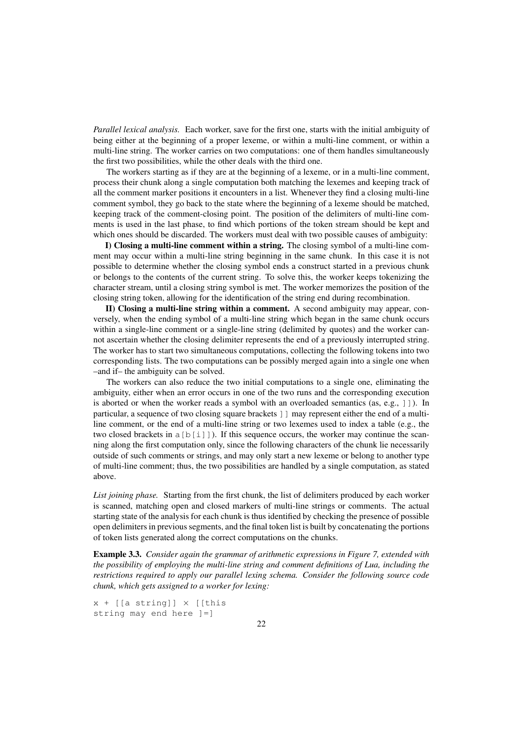*Parallel lexical analysis.* Each worker, save for the first one, starts with the initial ambiguity of being either at the beginning of a proper lexeme, or within a multi-line comment, or within a multi-line string. The worker carries on two computations: one of them handles simultaneously the first two possibilities, while the other deals with the third one.

The workers starting as if they are at the beginning of a lexeme, or in a multi-line comment, process their chunk along a single computation both matching the lexemes and keeping track of all the comment marker positions it encounters in a list. Whenever they find a closing multi-line comment symbol, they go back to the state where the beginning of a lexeme should be matched, keeping track of the comment-closing point. The position of the delimiters of multi-line comments is used in the last phase, to find which portions of the token stream should be kept and which ones should be discarded. The workers must deal with two possible causes of ambiguity:

I) Closing a multi-line comment within a string. The closing symbol of a multi-line comment may occur within a multi-line string beginning in the same chunk. In this case it is not possible to determine whether the closing symbol ends a construct started in a previous chunk or belongs to the contents of the current string. To solve this, the worker keeps tokenizing the character stream, until a closing string symbol is met. The worker memorizes the position of the closing string token, allowing for the identification of the string end during recombination.

II) Closing a multi-line string within a comment. A second ambiguity may appear, conversely, when the ending symbol of a multi-line string which began in the same chunk occurs within a single-line comment or a single-line string (delimited by quotes) and the worker cannot ascertain whether the closing delimiter represents the end of a previously interrupted string. The worker has to start two simultaneous computations, collecting the following tokens into two corresponding lists. The two computations can be possibly merged again into a single one when –and if– the ambiguity can be solved.

The workers can also reduce the two initial computations to a single one, eliminating the ambiguity, either when an error occurs in one of the two runs and the corresponding execution is aborted or when the worker reads a symbol with an overloaded semantics (as, e.g., ]]). In particular, a sequence of two closing square brackets ]] may represent either the end of a multiline comment, or the end of a multi-line string or two lexemes used to index a table (e.g., the two closed brackets in  $a[b[i]]$ ). If this sequence occurs, the worker may continue the scanning along the first computation only, since the following characters of the chunk lie necessarily outside of such comments or strings, and may only start a new lexeme or belong to another type of multi-line comment; thus, the two possibilities are handled by a single computation, as stated above.

*List joining phase.* Starting from the first chunk, the list of delimiters produced by each worker is scanned, matching open and closed markers of multi-line strings or comments. The actual starting state of the analysis for each chunk is thus identified by checking the presence of possible open delimiters in previous segments, and the final token list is built by concatenating the portions of token lists generated along the correct computations on the chunks.

Example 3.3. *Consider again the grammar of arithmetic expressions in Figure 7, extended with the possibility of employing the multi-line string and comment definitions of Lua, including the restrictions required to apply our parallel lexing schema. Consider the following source code chunk, which gets assigned to a worker for lexing:*

 $x + [a \text{ string}] \times [t$ his string may end here ]=]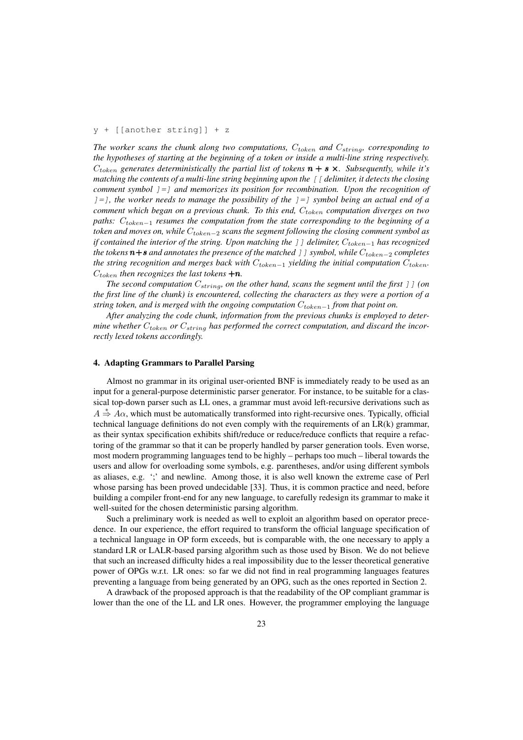## y + [[another string]] + z

The worker scans the chunk along two computations,  $C_{token}$  and  $C_{string}$ , corresponding to *the hypotheses of starting at the beginning of a token or inside a multi-line string respectively.*  $C_{token}$  generates deterministically the partial list of tokens  $\boldsymbol{n} + \boldsymbol{s} \times$ . Subsequently, while it's *matching the contents of a multi-line string beginning upon the* [[ *delimiter, it detects the closing comment symbol* ]=] *and memorizes its position for recombination. Upon the recognition of* ]=]*, the worker needs to manage the possibility of the* ]=] *symbol being an actual end of a comment which began on a previous chunk. To this end,*  $C_{token}$  *computation diverges on two paths:*  $C_{token-1}$  *resumes the computation from the state corresponding to the beginning of a token and moves on, while*  $C_{token-2}$  *scans the segment following the closing comment symbol as if contained the interior of the string. Upon matching the* ] *] delimiter,*  $C_{token-1}$  *has recognized the tokens*  $n+s$  *and annotates the presence of the matched* ] *] symbol, while*  $C_{token-2}$  *completes the string recognition and merges back with*  $C_{token-1}$  *yielding the initial computation*  $C_{token}$ .  $C_{token}$  *then recognizes the last tokens*  $+n$ *.* 

*The second computation*  $C_{string}$ , on the other hand, scans the segment until the first ] ] (on *the first line of the chunk) is encountered, collecting the characters as they were a portion of a string token, and is merged with the ongoing computation*  $C_{token-1}$  *from that point on.* 

*After analyzing the code chunk, information from the previous chunks is employed to determine whether*  $C_{token}$  *or*  $C_{string}$  *has performed the correct computation, and discard the incorrectly lexed tokens accordingly.*

#### 4. Adapting Grammars to Parallel Parsing

Almost no grammar in its original user-oriented BNF is immediately ready to be used as an input for a general-purpose deterministic parser generator. For instance, to be suitable for a classical top-down parser such as LL ones, a grammar must avoid left-recursive derivations such as  $A \stackrel{*}{\Rightarrow} A\alpha$ , which must be automatically transformed into right-recursive ones. Typically, official technical language definitions do not even comply with the requirements of an LR(k) grammar, as their syntax specification exhibits shift/reduce or reduce/reduce conflicts that require a refactoring of the grammar so that it can be properly handled by parser generation tools. Even worse, most modern programming languages tend to be highly – perhaps too much – liberal towards the users and allow for overloading some symbols, e.g. parentheses, and/or using different symbols as aliases, e.g. ';' and newline. Among those, it is also well known the extreme case of Perl whose parsing has been proved undecidable [33]. Thus, it is common practice and need, before building a compiler front-end for any new language, to carefully redesign its grammar to make it well-suited for the chosen deterministic parsing algorithm.

Such a preliminary work is needed as well to exploit an algorithm based on operator precedence. In our experience, the effort required to transform the official language specification of a technical language in OP form exceeds, but is comparable with, the one necessary to apply a standard LR or LALR-based parsing algorithm such as those used by Bison. We do not believe that such an increased difficulty hides a real impossibility due to the lesser theoretical generative power of OPGs w.r.t. LR ones: so far we did not find in real programming languages features preventing a language from being generated by an OPG, such as the ones reported in Section 2.

A drawback of the proposed approach is that the readability of the OP compliant grammar is lower than the one of the LL and LR ones. However, the programmer employing the language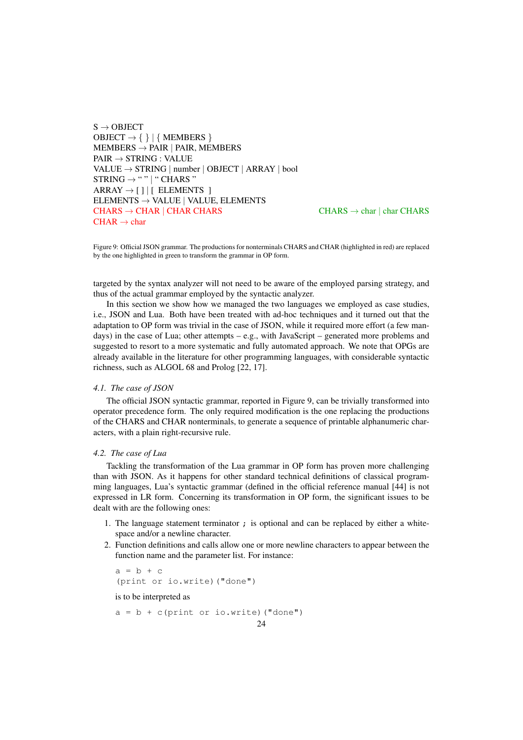$S \rightarrow$  OBJECT  $OBIECT \rightarrow \{\} | \{ MEMBERS \}$  $MEMBERS \rightarrow PAIR$  | PAIR, MEMBERS  $PAIR \rightarrow STRING$ : VALUE  $\text{VALUE} \rightarrow \text{STRING} \mid \text{number} \mid \text{OBIECT} \mid \text{ARRAY} \mid \text{bool}$  $STRING \rightarrow " " | " CHARS"$  $ARRAY \rightarrow [] |$ [ ELEMENTS ]  $E$ ELEMENTS  $\rightarrow$  VALUE | VALUE, ELEMENTS CHARS  $\rightarrow$  CHAR | CHAR CHARS CHARS CHARS  $\rightarrow$  char | char CHARS  $CHAR \rightarrow char$ 

Figure 9: Official JSON grammar. The productions for nonterminals CHARS and CHAR (highlighted in red) are replaced by the one highlighted in green to transform the grammar in OP form.

targeted by the syntax analyzer will not need to be aware of the employed parsing strategy, and thus of the actual grammar employed by the syntactic analyzer.

In this section we show how we managed the two languages we employed as case studies, i.e., JSON and Lua. Both have been treated with ad-hoc techniques and it turned out that the adaptation to OP form was trivial in the case of JSON, while it required more effort (a few mandays) in the case of Lua; other attempts – e.g., with JavaScript – generated more problems and suggested to resort to a more systematic and fully automated approach. We note that OPGs are already available in the literature for other programming languages, with considerable syntactic richness, such as ALGOL 68 and Prolog [22, 17].

## *4.1. The case of JSON*

The official JSON syntactic grammar, reported in Figure 9, can be trivially transformed into operator precedence form. The only required modification is the one replacing the productions of the CHARS and CHAR nonterminals, to generate a sequence of printable alphanumeric characters, with a plain right-recursive rule.

#### *4.2. The case of Lua*

Tackling the transformation of the Lua grammar in OP form has proven more challenging than with JSON. As it happens for other standard technical definitions of classical programming languages, Lua's syntactic grammar (defined in the official reference manual [44] is not expressed in LR form. Concerning its transformation in OP form, the significant issues to be dealt with are the following ones:

- 1. The language statement terminator ; is optional and can be replaced by either a whitespace and/or a newline character.
- 2. Function definitions and calls allow one or more newline characters to appear between the function name and the parameter list. For instance:

```
a = b + c(print or io.write)("done")
```
is to be interpreted as

 $a = b + c$  (print or io.write) ("done")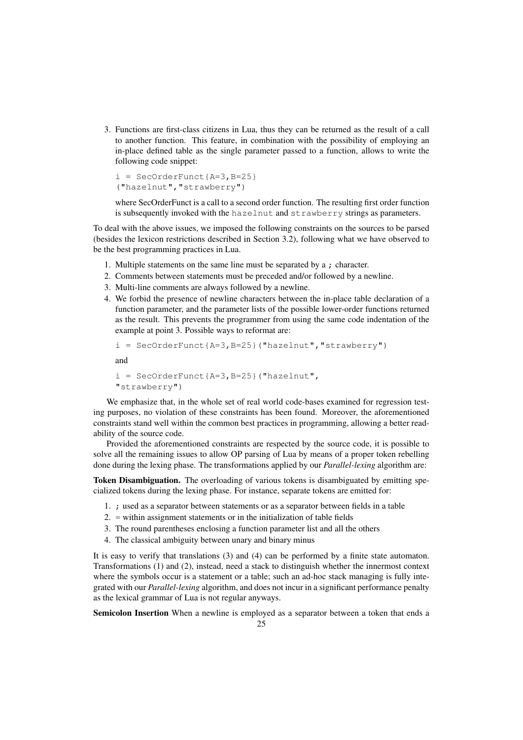3. Functions are first-class citizens in Lua, thus they can be returned as the result of a call to another function. This feature, in combination with the possibility of employing an in-place defined table as the single parameter passed to a function, allows to write the following code snippet:

```
i = SecOrderFunct {A=3, B=25}
("hazelnut","strawberry")
```
where SecOrderFunct is a call to a second order function. The resulting first order function is subsequently invoked with the hazelnut and strawberry strings as parameters.

To deal with the above issues, we imposed the following constraints on the sources to be parsed (besides the lexicon restrictions described in Section 3.2), following what we have observed to be the best programming practices in Lua.

- 1. Multiple statements on the same line must be separated by a ; character.
- 2. Comments between statements must be preceded and/or followed by a newline.
- 3. Multi-line comments are always followed by a newline.
- 4. We forbid the presence of newline characters between the in-place table declaration of a function parameter, and the parameter lists of the possible lower-order functions returned as the result. This prevents the programmer from using the same code indentation of the example at point 3. Possible ways to reformat are:

```
i = SecOrderFunct{A=3, B=25}("hazelnut", "strawberry")
```
and

```
i = SecOrderFunct{A=3, B=25}("hazelnut",
"strawberry")
```
We emphasize that, in the whole set of real world code-bases examined for regression testing purposes, no violation of these constraints has been found. Moreover, the aforementioned constraints stand well within the common best practices in programming, allowing a better readability of the source code.

Provided the aforementioned constraints are respected by the source code, it is possible to solve all the remaining issues to allow OP parsing of Lua by means of a proper token rebelling done during the lexing phase. The transformations applied by our *Parallel-lexing* algorithm are:

Token Disambiguation. The overloading of various tokens is disambiguated by emitting specialized tokens during the lexing phase. For instance, separate tokens are emitted for:

- 1. ; used as a separator between statements or as a separator between fields in a table
- 2. = within assignment statements or in the initialization of table fields
- 3. The round parentheses enclosing a function parameter list and all the others
- 4. The classical ambiguity between unary and binary minus

It is easy to verify that translations (3) and (4) can be performed by a finite state automaton. Transformations (1) and (2), instead, need a stack to distinguish whether the innermost context where the symbols occur is a statement or a table; such an ad-hoc stack managing is fully integrated with our *Parallel-lexing* algorithm, and does not incur in a significant performance penalty as the lexical grammar of Lua is not regular anyways.

Semicolon Insertion When a newline is employed as a separator between a token that ends a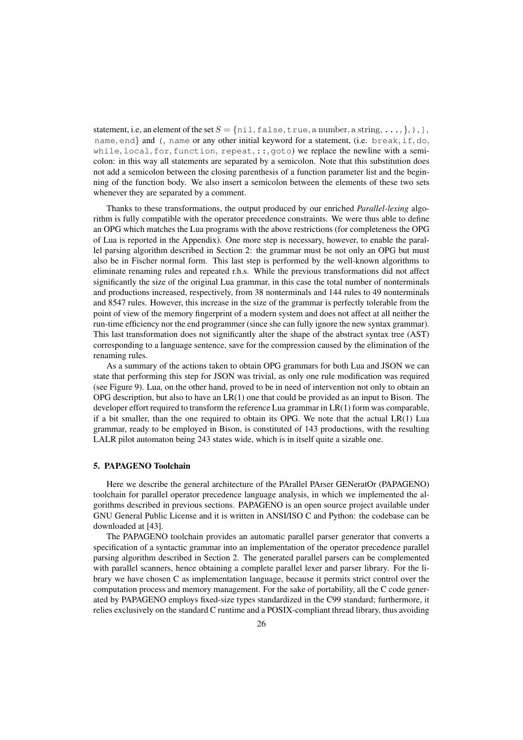statement, i.e, an element of the set  $S = \{ \text{nil}, \text{false}, \text{true}, \text{a number}, \text{a string}, \ldots, \}, \}$ ,  $\}$ , name, end} and (, name or any other initial keyword for a statement, (i.e. break, if, do, while, local, for, function, repeat, ::, goto) we replace the newline with a semicolon: in this way all statements are separated by a semicolon. Note that this substitution does not add a semicolon between the closing parenthesis of a function parameter list and the beginning of the function body. We also insert a semicolon between the elements of these two sets whenever they are separated by a comment.

Thanks to these transformations, the output produced by our enriched *Parallel-lexing* algorithm is fully compatible with the operator precedence constraints. We were thus able to define an OPG which matches the Lua programs with the above restrictions (for completeness the OPG of Lua is reported in the Appendix). One more step is necessary, however, to enable the parallel parsing algorithm described in Section 2: the grammar must be not only an OPG but must also be in Fischer normal form. This last step is performed by the well-known algorithms to eliminate renaming rules and repeated r.h.s. While the previous transformations did not affect significantly the size of the original Lua grammar, in this case the total number of nonterminals and productions increased, respectively, from 38 nonterminals and 144 rules to 49 nonterminals and 8547 rules. However, this increase in the size of the grammar is perfectly tolerable from the point of view of the memory fingerprint of a modern system and does not affect at all neither the run-time efficiency nor the end programmer (since she can fully ignore the new syntax grammar). This last transformation does not significantly alter the shape of the abstract syntax tree (AST) corresponding to a language sentence, save for the compression caused by the elimination of the renaming rules.

As a summary of the actions taken to obtain OPG grammars for both Lua and JSON we can state that performing this step for JSON was trivial, as only one rule modification was required (see Figure 9). Lua, on the other hand, proved to be in need of intervention not only to obtain an OPG description, but also to have an  $LR(1)$  one that could be provided as an input to Bison. The developer effort required to transform the reference Lua grammar in LR(1) form was comparable, if a bit smaller, than the one required to obtain its OPG. We note that the actual LR(1) Lua grammar, ready to be employed in Bison, is constituted of 143 productions, with the resulting LALR pilot automaton being 243 states wide, which is in itself quite a sizable one.

#### 5. PAPAGENO Toolchain

Here we describe the general architecture of the PArallel PArser GENeratOr (PAPAGENO) toolchain for parallel operator precedence language analysis, in which we implemented the algorithms described in previous sections. PAPAGENO is an open source project available under GNU General Public License and it is written in ANSI/ISO C and Python: the codebase can be downloaded at [43].

The PAPAGENO toolchain provides an automatic parallel parser generator that converts a specification of a syntactic grammar into an implementation of the operator precedence parallel parsing algorithm described in Section 2. The generated parallel parsers can be complemented with parallel scanners, hence obtaining a complete parallel lexer and parser library. For the library we have chosen C as implementation language, because it permits strict control over the computation process and memory management. For the sake of portability, all the C code generated by PAPAGENO employs fixed-size types standardized in the C99 standard; furthermore, it relies exclusively on the standard C runtime and a POSIX-compliant thread library, thus avoiding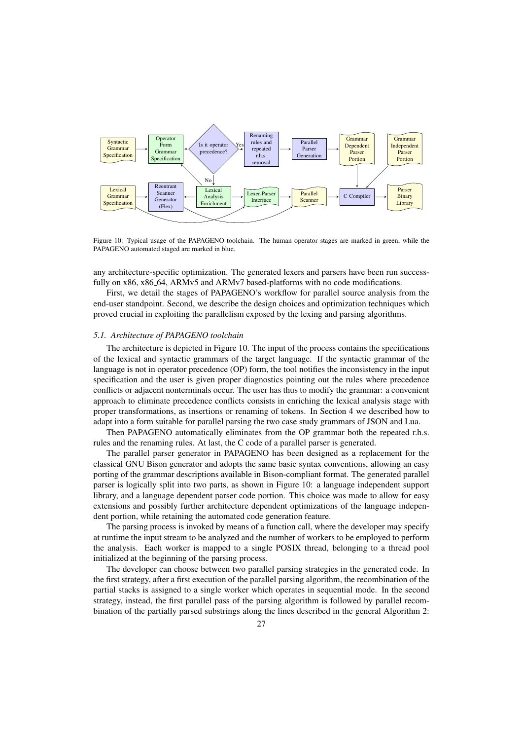

Figure 10: Typical usage of the PAPAGENO toolchain. The human operator stages are marked in green, while the PAPAGENO automated staged are marked in blue.

any architecture-specific optimization. The generated lexers and parsers have been run successfully on x86, x86 64, ARMv5 and ARMv7 based-platforms with no code modifications.

First, we detail the stages of PAPAGENO's workflow for parallel source analysis from the end-user standpoint. Second, we describe the design choices and optimization techniques which proved crucial in exploiting the parallelism exposed by the lexing and parsing algorithms.

## *5.1. Architecture of PAPAGENO toolchain*

The architecture is depicted in Figure 10. The input of the process contains the specifications of the lexical and syntactic grammars of the target language. If the syntactic grammar of the language is not in operator precedence (OP) form, the tool notifies the inconsistency in the input specification and the user is given proper diagnostics pointing out the rules where precedence conflicts or adjacent nonterminals occur. The user has thus to modify the grammar: a convenient approach to eliminate precedence conflicts consists in enriching the lexical analysis stage with proper transformations, as insertions or renaming of tokens. In Section 4 we described how to adapt into a form suitable for parallel parsing the two case study grammars of JSON and Lua.

Then PAPAGENO automatically eliminates from the OP grammar both the repeated r.h.s. rules and the renaming rules. At last, the C code of a parallel parser is generated.

The parallel parser generator in PAPAGENO has been designed as a replacement for the classical GNU Bison generator and adopts the same basic syntax conventions, allowing an easy porting of the grammar descriptions available in Bison-compliant format. The generated parallel parser is logically split into two parts, as shown in Figure 10: a language independent support library, and a language dependent parser code portion. This choice was made to allow for easy extensions and possibly further architecture dependent optimizations of the language independent portion, while retaining the automated code generation feature.

The parsing process is invoked by means of a function call, where the developer may specify at runtime the input stream to be analyzed and the number of workers to be employed to perform the analysis. Each worker is mapped to a single POSIX thread, belonging to a thread pool initialized at the beginning of the parsing process.

The developer can choose between two parallel parsing strategies in the generated code. In the first strategy, after a first execution of the parallel parsing algorithm, the recombination of the partial stacks is assigned to a single worker which operates in sequential mode. In the second strategy, instead, the first parallel pass of the parsing algorithm is followed by parallel recombination of the partially parsed substrings along the lines described in the general Algorithm 2: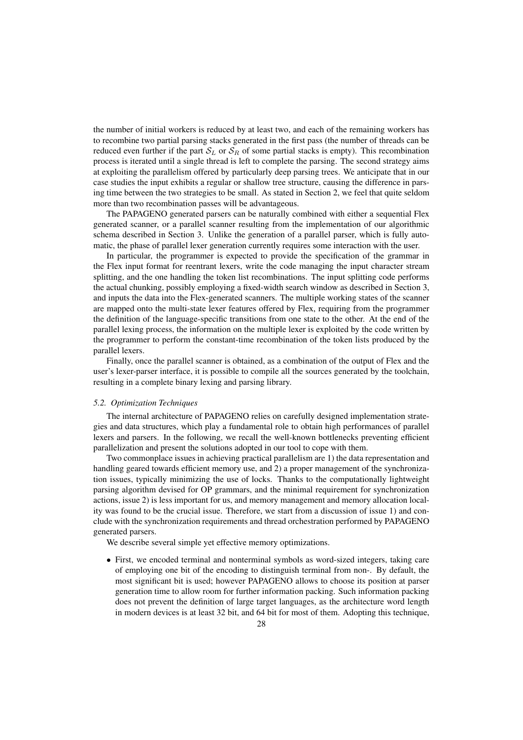the number of initial workers is reduced by at least two, and each of the remaining workers has to recombine two partial parsing stacks generated in the first pass (the number of threads can be reduced even further if the part  $S_L$  or  $S_R$  of some partial stacks is empty). This recombination process is iterated until a single thread is left to complete the parsing. The second strategy aims at exploiting the parallelism offered by particularly deep parsing trees. We anticipate that in our case studies the input exhibits a regular or shallow tree structure, causing the difference in parsing time between the two strategies to be small. As stated in Section 2, we feel that quite seldom more than two recombination passes will be advantageous.

The PAPAGENO generated parsers can be naturally combined with either a sequential Flex generated scanner, or a parallel scanner resulting from the implementation of our algorithmic schema described in Section 3. Unlike the generation of a parallel parser, which is fully automatic, the phase of parallel lexer generation currently requires some interaction with the user.

In particular, the programmer is expected to provide the specification of the grammar in the Flex input format for reentrant lexers, write the code managing the input character stream splitting, and the one handling the token list recombinations. The input splitting code performs the actual chunking, possibly employing a fixed-width search window as described in Section 3, and inputs the data into the Flex-generated scanners. The multiple working states of the scanner are mapped onto the multi-state lexer features offered by Flex, requiring from the programmer the definition of the language-specific transitions from one state to the other. At the end of the parallel lexing process, the information on the multiple lexer is exploited by the code written by the programmer to perform the constant-time recombination of the token lists produced by the parallel lexers.

Finally, once the parallel scanner is obtained, as a combination of the output of Flex and the user's lexer-parser interface, it is possible to compile all the sources generated by the toolchain, resulting in a complete binary lexing and parsing library.

#### *5.2. Optimization Techniques*

The internal architecture of PAPAGENO relies on carefully designed implementation strategies and data structures, which play a fundamental role to obtain high performances of parallel lexers and parsers. In the following, we recall the well-known bottlenecks preventing efficient parallelization and present the solutions adopted in our tool to cope with them.

Two commonplace issues in achieving practical parallelism are 1) the data representation and handling geared towards efficient memory use, and 2) a proper management of the synchronization issues, typically minimizing the use of locks. Thanks to the computationally lightweight parsing algorithm devised for OP grammars, and the minimal requirement for synchronization actions, issue 2) is less important for us, and memory management and memory allocation locality was found to be the crucial issue. Therefore, we start from a discussion of issue 1) and conclude with the synchronization requirements and thread orchestration performed by PAPAGENO generated parsers.

We describe several simple yet effective memory optimizations.

• First, we encoded terminal and nonterminal symbols as word-sized integers, taking care of employing one bit of the encoding to distinguish terminal from non-. By default, the most significant bit is used; however PAPAGENO allows to choose its position at parser generation time to allow room for further information packing. Such information packing does not prevent the definition of large target languages, as the architecture word length in modern devices is at least 32 bit, and 64 bit for most of them. Adopting this technique,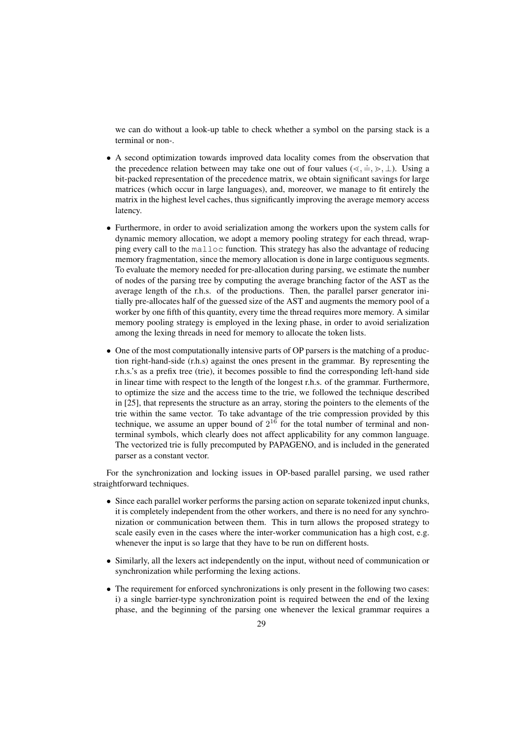we can do without a look-up table to check whether a symbol on the parsing stack is a terminal or non-.

- A second optimization towards improved data locality comes from the observation that the precedence relation between may take one out of four values ( $\leq, \doteq, \geq, \perp$ ). Using a bit-packed representation of the precedence matrix, we obtain significant savings for large matrices (which occur in large languages), and, moreover, we manage to fit entirely the matrix in the highest level caches, thus significantly improving the average memory access latency.
- Furthermore, in order to avoid serialization among the workers upon the system calls for dynamic memory allocation, we adopt a memory pooling strategy for each thread, wrapping every call to the malloc function. This strategy has also the advantage of reducing memory fragmentation, since the memory allocation is done in large contiguous segments. To evaluate the memory needed for pre-allocation during parsing, we estimate the number of nodes of the parsing tree by computing the average branching factor of the AST as the average length of the r.h.s. of the productions. Then, the parallel parser generator initially pre-allocates half of the guessed size of the AST and augments the memory pool of a worker by one fifth of this quantity, every time the thread requires more memory. A similar memory pooling strategy is employed in the lexing phase, in order to avoid serialization among the lexing threads in need for memory to allocate the token lists.
- One of the most computationally intensive parts of OP parsers is the matching of a production right-hand-side (r.h.s) against the ones present in the grammar. By representing the r.h.s.'s as a prefix tree (trie), it becomes possible to find the corresponding left-hand side in linear time with respect to the length of the longest r.h.s. of the grammar. Furthermore, to optimize the size and the access time to the trie, we followed the technique described in [25], that represents the structure as an array, storing the pointers to the elements of the trie within the same vector. To take advantage of the trie compression provided by this technique, we assume an upper bound of  $2^{16}$  for the total number of terminal and nonterminal symbols, which clearly does not affect applicability for any common language. The vectorized trie is fully precomputed by PAPAGENO, and is included in the generated parser as a constant vector.

For the synchronization and locking issues in OP-based parallel parsing, we used rather straightforward techniques.

- Since each parallel worker performs the parsing action on separate tokenized input chunks, it is completely independent from the other workers, and there is no need for any synchronization or communication between them. This in turn allows the proposed strategy to scale easily even in the cases where the inter-worker communication has a high cost, e.g. whenever the input is so large that they have to be run on different hosts.
- Similarly, all the lexers act independently on the input, without need of communication or synchronization while performing the lexing actions.
- The requirement for enforced synchronizations is only present in the following two cases: i) a single barrier-type synchronization point is required between the end of the lexing phase, and the beginning of the parsing one whenever the lexical grammar requires a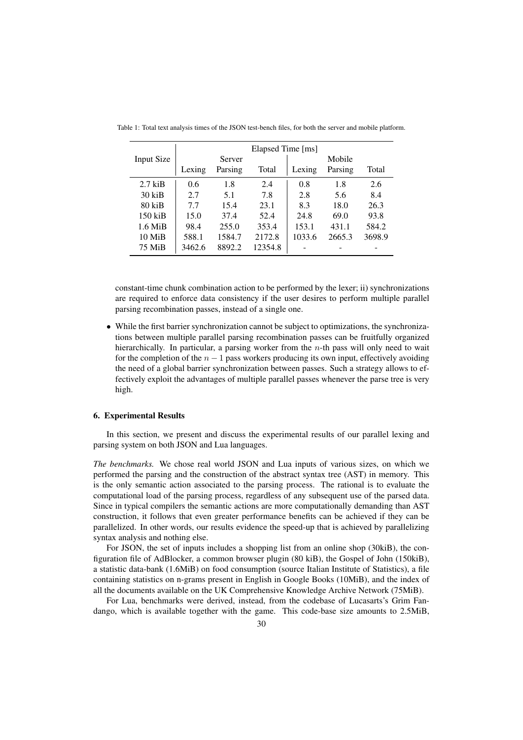|            | Elapsed Time [ms] |         |         |        |         |        |  |  |
|------------|-------------------|---------|---------|--------|---------|--------|--|--|
| Input Size |                   | Server  |         |        | Mobile  |        |  |  |
|            | Lexing            | Parsing | Total   | Lexing | Parsing | Total  |  |  |
| $2.7$ kiB  | 0.6               | 1.8     | 2.4     | 0.8    | 1.8     | 2.6    |  |  |
| $30$ kiB   | 2.7               | 5.1     | 7.8     | 2.8    | 5.6     | 8.4    |  |  |
| $80$ kiB   | 7.7               | 15.4    | 23.1    | 8.3    | 18.0    | 26.3   |  |  |
| $150$ kiB  | 15.0              | 37.4    | 52.4    | 24.8   | 69.0    | 93.8   |  |  |
| $1.6$ MiB  | 98.4              | 255.0   | 353.4   | 153.1  | 431.1   | 584.2  |  |  |
| 10 MiB     | 588.1             | 1584.7  | 2172.8  | 1033.6 | 2665.3  | 3698.9 |  |  |
| 75 MiB     | 3462.6            | 8892.2  | 12354.8 |        |         |        |  |  |

Table 1: Total text analysis times of the JSON test-bench files, for both the server and mobile platform.

constant-time chunk combination action to be performed by the lexer; ii) synchronizations are required to enforce data consistency if the user desires to perform multiple parallel parsing recombination passes, instead of a single one.

• While the first barrier synchronization cannot be subject to optimizations, the synchronizations between multiple parallel parsing recombination passes can be fruitfully organized hierarchically. In particular, a parsing worker from the  $n$ -th pass will only need to wait for the completion of the  $n - 1$  pass workers producing its own input, effectively avoiding the need of a global barrier synchronization between passes. Such a strategy allows to effectively exploit the advantages of multiple parallel passes whenever the parse tree is very high.

#### 6. Experimental Results

In this section, we present and discuss the experimental results of our parallel lexing and parsing system on both JSON and Lua languages.

*The benchmarks.* We chose real world JSON and Lua inputs of various sizes, on which we performed the parsing and the construction of the abstract syntax tree (AST) in memory. This is the only semantic action associated to the parsing process. The rational is to evaluate the computational load of the parsing process, regardless of any subsequent use of the parsed data. Since in typical compilers the semantic actions are more computationally demanding than AST construction, it follows that even greater performance benefits can be achieved if they can be parallelized. In other words, our results evidence the speed-up that is achieved by parallelizing syntax analysis and nothing else.

For JSON, the set of inputs includes a shopping list from an online shop (30kiB), the configuration file of AdBlocker, a common browser plugin (80 kiB), the Gospel of John (150kiB), a statistic data-bank (1.6MiB) on food consumption (source Italian Institute of Statistics), a file containing statistics on n-grams present in English in Google Books (10MiB), and the index of all the documents available on the UK Comprehensive Knowledge Archive Network (75MiB).

For Lua, benchmarks were derived, instead, from the codebase of Lucasarts's Grim Fandango, which is available together with the game. This code-base size amounts to 2.5MiB,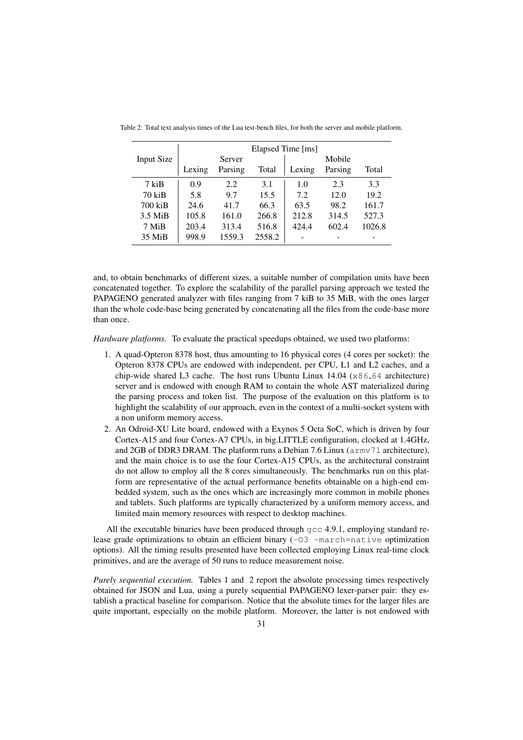|                   | Elapsed Time [ms] |         |        |        |         |        |  |
|-------------------|-------------------|---------|--------|--------|---------|--------|--|
| <b>Input Size</b> |                   | Server  |        |        | Mobile  |        |  |
|                   | Lexing            | Parsing | Total  | Lexing | Parsing | Total  |  |
| 7 kiB             | 0.9               | 2.2     | 3.1    | 1.0    | 2.3     | 3.3    |  |
| $70$ kiB          | 5.8               | 9.7     | 15.5   | 7.2    | 12.0    | 19.2   |  |
| 700 kiB           | 24.6              | 41.7    | 66.3   | 63.5   | 98.2    | 161.7  |  |
| $3.5$ MiB         | 105.8             | 161.0   | 266.8  | 212.8  | 314.5   | 527.3  |  |
| 7 MiB             | 203.4             | 313.4   | 516.8  | 424.4  | 602.4   | 1026.8 |  |
| 35 MiB            | 998.9             | 1559.3  | 2558.2 |        |         |        |  |

Table 2: Total text analysis times of the Lua test-bench files, for both the server and mobile platform.

and, to obtain benchmarks of different sizes, a suitable number of compilation units have been concatenated together. To explore the scalability of the parallel parsing approach we tested the PAPAGENO generated analyzer with files ranging from 7 kiB to 35 MiB, with the ones larger than the whole code-base being generated by concatenating all the files from the code-base more than once.

*Hardware platforms.* To evaluate the practical speedups obtained, we used two platforms:

- 1. A quad-Opteron 8378 host, thus amounting to 16 physical cores (4 cores per socket): the Opteron 8378 CPUs are endowed with independent, per CPU, L1 and L2 caches, and a chip-wide shared L3 cache. The host runs Ubuntu Linux  $14.04$  ( $x86-64$  architecture) server and is endowed with enough RAM to contain the whole AST materialized during the parsing process and token list. The purpose of the evaluation on this platform is to highlight the scalability of our approach, even in the context of a multi-socket system with a non uniform memory access.
- 2. An Odroid-XU Lite board, endowed with a Exynos 5 Octa SoC, which is driven by four Cortex-A15 and four Cortex-A7 CPUs, in big.LITTLE configuration, clocked at 1.4GHz, and 2GB of DDR3 DRAM. The platform runs a Debian 7.6 Linux ( $a$ rmv71 architecture), and the main choice is to use the four Cortex-A15 CPUs, as the architectural constraint do not allow to employ all the 8 cores simultaneously. The benchmarks run on this platform are representative of the actual performance benefits obtainable on a high-end embedded system, such as the ones which are increasingly more common in mobile phones and tablets. Such platforms are typically characterized by a uniform memory access, and limited main memory resources with respect to desktop machines.

All the executable binaries have been produced through  $\text{gcc } 4.9.1$ , employing standard release grade optimizations to obtain an efficient binary  $(-03 -\text{macro} =\text{native optimization})$ options). All the timing results presented have been collected employing Linux real-time clock primitives, and are the average of 50 runs to reduce measurement noise.

*Purely sequential execution.* Tables 1 and 2 report the absolute processing times respectively obtained for JSON and Lua, using a purely sequential PAPAGENO lexer-parser pair: they establish a practical baseline for comparison. Notice that the absolute times for the larger files are quite important, especially on the mobile platform. Moreover, the latter is not endowed with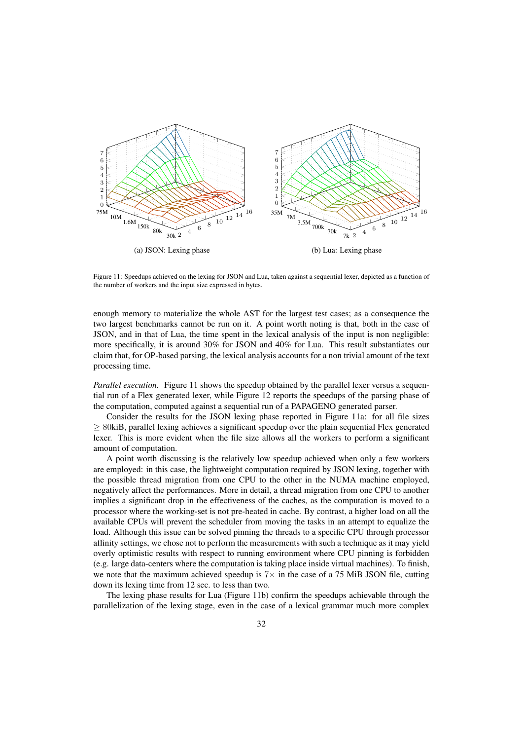

Figure 11: Speedups achieved on the lexing for JSON and Lua, taken against a sequential lexer, depicted as a function of the number of workers and the input size expressed in bytes.

enough memory to materialize the whole AST for the largest test cases; as a consequence the two largest benchmarks cannot be run on it. A point worth noting is that, both in the case of JSON, and in that of Lua, the time spent in the lexical analysis of the input is non negligible: more specifically, it is around 30% for JSON and 40% for Lua. This result substantiates our claim that, for OP-based parsing, the lexical analysis accounts for a non trivial amount of the text processing time.

*Parallel execution.* Figure 11 shows the speedup obtained by the parallel lexer versus a sequential run of a Flex generated lexer, while Figure 12 reports the speedups of the parsing phase of the computation, computed against a sequential run of a PAPAGENO generated parser.

Consider the results for the JSON lexing phase reported in Figure 11a: for all file sizes  $\geq$  80kiB, parallel lexing achieves a significant speedup over the plain sequential Flex generated lexer. This is more evident when the file size allows all the workers to perform a significant amount of computation.

A point worth discussing is the relatively low speedup achieved when only a few workers are employed: in this case, the lightweight computation required by JSON lexing, together with the possible thread migration from one CPU to the other in the NUMA machine employed, negatively affect the performances. More in detail, a thread migration from one CPU to another implies a significant drop in the effectiveness of the caches, as the computation is moved to a processor where the working-set is not pre-heated in cache. By contrast, a higher load on all the available CPUs will prevent the scheduler from moving the tasks in an attempt to equalize the load. Although this issue can be solved pinning the threads to a specific CPU through processor affinity settings, we chose not to perform the measurements with such a technique as it may yield overly optimistic results with respect to running environment where CPU pinning is forbidden (e.g. large data-centers where the computation is taking place inside virtual machines). To finish, we note that the maximum achieved speedup is  $7\times$  in the case of a 75 MiB JSON file, cutting down its lexing time from 12 sec. to less than two.

The lexing phase results for Lua (Figure 11b) confirm the speedups achievable through the parallelization of the lexing stage, even in the case of a lexical grammar much more complex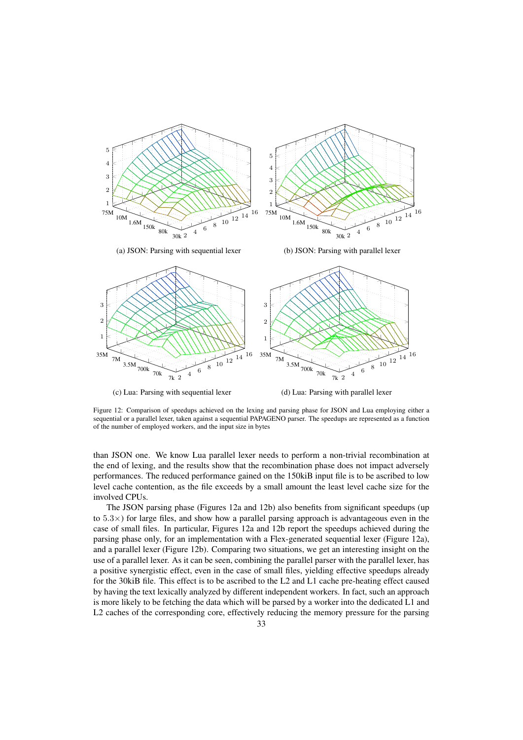

Figure 12: Comparison of speedups achieved on the lexing and parsing phase for JSON and Lua employing either a sequential or a parallel lexer, taken against a sequential PAPAGENO parser. The speedups are represented as a function of the number of employed workers, and the input size in bytes

than JSON one. We know Lua parallel lexer needs to perform a non-trivial recombination at the end of lexing, and the results show that the recombination phase does not impact adversely performances. The reduced performance gained on the 150kiB input file is to be ascribed to low level cache contention, as the file exceeds by a small amount the least level cache size for the involved CPUs.

The JSON parsing phase (Figures 12a and 12b) also benefits from significant speedups (up to  $5.3\times$ ) for large files, and show how a parallel parsing approach is advantageous even in the case of small files. In particular, Figures 12a and 12b report the speedups achieved during the parsing phase only, for an implementation with a Flex-generated sequential lexer (Figure 12a), and a parallel lexer (Figure 12b). Comparing two situations, we get an interesting insight on the use of a parallel lexer. As it can be seen, combining the parallel parser with the parallel lexer, has a positive synergistic effect, even in the case of small files, yielding effective speedups already for the 30kiB file. This effect is to be ascribed to the L2 and L1 cache pre-heating effect caused by having the text lexically analyzed by different independent workers. In fact, such an approach is more likely to be fetching the data which will be parsed by a worker into the dedicated L1 and L2 caches of the corresponding core, effectively reducing the memory pressure for the parsing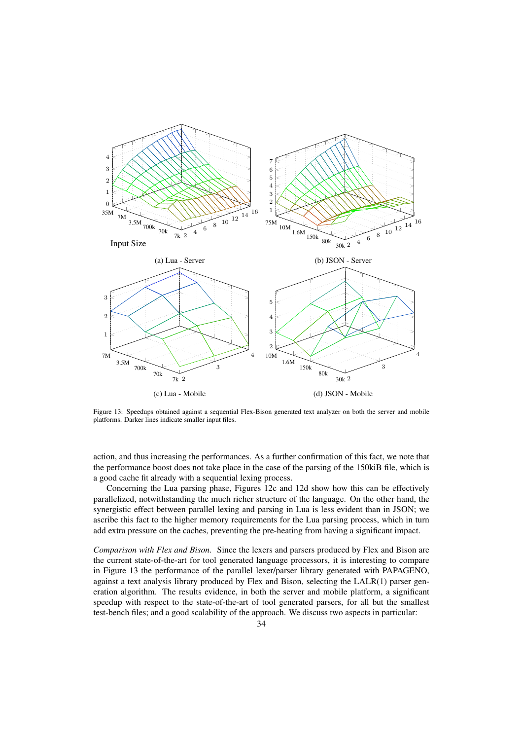

Figure 13: Speedups obtained against a sequential Flex-Bison generated text analyzer on both the server and mobile platforms. Darker lines indicate smaller input files.

action, and thus increasing the performances. As a further confirmation of this fact, we note that the performance boost does not take place in the case of the parsing of the 150kiB file, which is a good cache fit already with a sequential lexing process.

Concerning the Lua parsing phase, Figures 12c and 12d show how this can be effectively parallelized, notwithstanding the much richer structure of the language. On the other hand, the synergistic effect between parallel lexing and parsing in Lua is less evident than in JSON; we ascribe this fact to the higher memory requirements for the Lua parsing process, which in turn add extra pressure on the caches, preventing the pre-heating from having a significant impact.

*Comparison with Flex and Bison.* Since the lexers and parsers produced by Flex and Bison are the current state-of-the-art for tool generated language processors, it is interesting to compare in Figure 13 the performance of the parallel lexer/parser library generated with PAPAGENO, against a text analysis library produced by Flex and Bison, selecting the LALR(1) parser generation algorithm. The results evidence, in both the server and mobile platform, a significant speedup with respect to the state-of-the-art of tool generated parsers, for all but the smallest test-bench files; and a good scalability of the approach. We discuss two aspects in particular: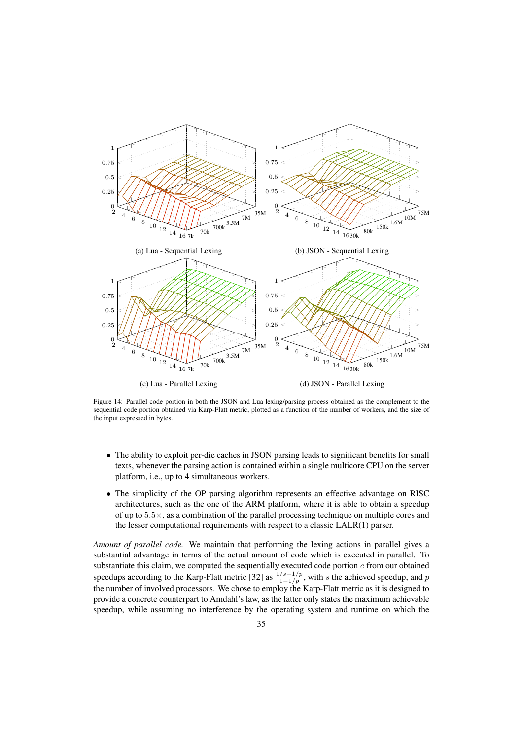

Figure 14: Parallel code portion in both the JSON and Lua lexing/parsing process obtained as the complement to the sequential code portion obtained via Karp-Flatt metric, plotted as a function of the number of workers, and the size of the input expressed in bytes.

- The ability to exploit per-die caches in JSON parsing leads to significant benefits for small texts, whenever the parsing action is contained within a single multicore CPU on the server platform, i.e., up to 4 simultaneous workers.
- The simplicity of the OP parsing algorithm represents an effective advantage on RISC architectures, such as the one of the ARM platform, where it is able to obtain a speedup of up to  $5.5\times$ , as a combination of the parallel processing technique on multiple cores and the lesser computational requirements with respect to a classic LALR(1) parser.

*Amount of parallel code.* We maintain that performing the lexing actions in parallel gives a substantial advantage in terms of the actual amount of code which is executed in parallel. To substantiate this claim, we computed the sequentially executed code portion  $e$  from our obtained speedups according to the Karp-Flatt metric [32] as  $\frac{1/s-1/p}{1-1/p}$ , with s the achieved speedup, and p the number of involved processors. We chose to employ the Karp-Flatt metric as it is designed to provide a concrete counterpart to Amdahl's law, as the latter only states the maximum achievable speedup, while assuming no interference by the operating system and runtime on which the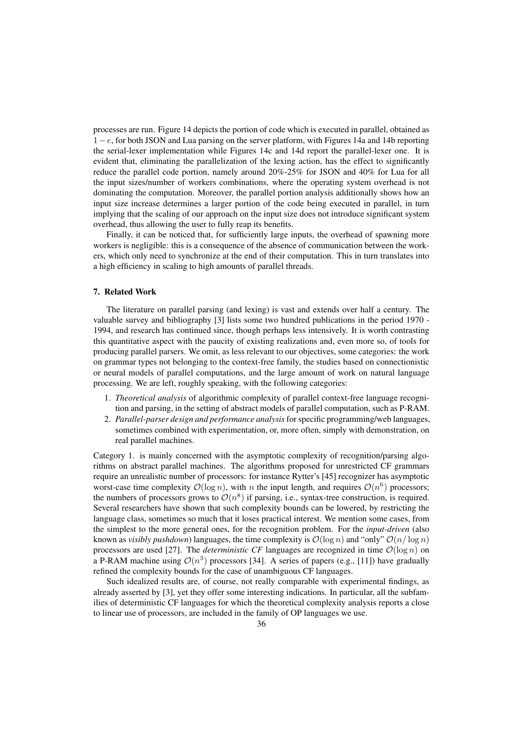processes are run. Figure 14 depicts the portion of code which is executed in parallel, obtained as 1−e, for both JSON and Lua parsing on the server platform, with Figures 14a and 14b reporting the serial-lexer implementation while Figures 14c and 14d report the parallel-lexer one. It is evident that, eliminating the parallelization of the lexing action, has the effect to significantly reduce the parallel code portion, namely around 20%-25% for JSON and 40% for Lua for all the input sizes/number of workers combinations, where the operating system overhead is not dominating the computation. Moreover, the parallel portion analysis additionally shows how an input size increase determines a larger portion of the code being executed in parallel, in turn implying that the scaling of our approach on the input size does not introduce significant system overhead, thus allowing the user to fully reap its benefits.

Finally, it can be noticed that, for sufficiently large inputs, the overhead of spawning more workers is negligible: this is a consequence of the absence of communication between the workers, which only need to synchronize at the end of their computation. This in turn translates into a high efficiency in scaling to high amounts of parallel threads.

## 7. Related Work

The literature on parallel parsing (and lexing) is vast and extends over half a century. The valuable survey and bibliography [3] lists some two hundred publications in the period 1970 - 1994, and research has continued since, though perhaps less intensively. It is worth contrasting this quantitative aspect with the paucity of existing realizations and, even more so, of tools for producing parallel parsers. We omit, as less relevant to our objectives, some categories: the work on grammar types not belonging to the context-free family, the studies based on connectionistic or neural models of parallel computations, and the large amount of work on natural language processing. We are left, roughly speaking, with the following categories:

- 1. *Theoretical analysis* of algorithmic complexity of parallel context-free language recognition and parsing, in the setting of abstract models of parallel computation, such as P-RAM.
- 2. *Parallel-parser design and performance analysis*for specific programming/web languages, sometimes combined with experimentation, or, more often, simply with demonstration, on real parallel machines.

Category 1. is mainly concerned with the asymptotic complexity of recognition/parsing algorithms on abstract parallel machines. The algorithms proposed for unrestricted CF grammars require an unrealistic number of processors: for instance Rytter's [45] recognizer has asymptotic worst-case time complexity  $\mathcal{O}(\log n)$ , with *n* the input length, and requires  $\mathcal{O}(n^6)$  processors; the numbers of processors grows to  $\mathcal{O}(n^8)$  if parsing, i.e., syntax-tree construction, is required. Several researchers have shown that such complexity bounds can be lowered, by restricting the language class, sometimes so much that it loses practical interest. We mention some cases, from the simplest to the more general ones, for the recognition problem. For the *input-driven* (also known as *visibly pushdown*) languages, the time complexity is  $\mathcal{O}(\log n)$  and "only"  $\mathcal{O}(n/\log n)$ processors are used [27]. The *deterministic CF* languages are recognized in time  $\mathcal{O}(\log n)$  on a P-RAM machine using  $\mathcal{O}(n^3)$  processors [34]. A series of papers (e.g., [11]) have gradually refined the complexity bounds for the case of unambiguous CF languages.

Such idealized results are, of course, not really comparable with experimental findings, as already asserted by [3], yet they offer some interesting indications. In particular, all the subfamilies of deterministic CF languages for which the theoretical complexity analysis reports a close to linear use of processors, are included in the family of OP languages we use.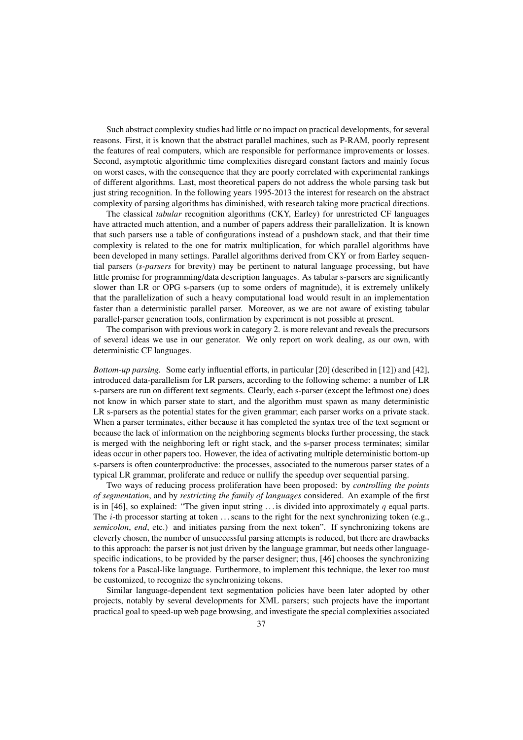Such abstract complexity studies had little or no impact on practical developments, for several reasons. First, it is known that the abstract parallel machines, such as P-RAM, poorly represent the features of real computers, which are responsible for performance improvements or losses. Second, asymptotic algorithmic time complexities disregard constant factors and mainly focus on worst cases, with the consequence that they are poorly correlated with experimental rankings of different algorithms. Last, most theoretical papers do not address the whole parsing task but just string recognition. In the following years 1995-2013 the interest for research on the abstract complexity of parsing algorithms has diminished, with research taking more practical directions.

The classical *tabular* recognition algorithms (CKY, Earley) for unrestricted CF languages have attracted much attention, and a number of papers address their parallelization. It is known that such parsers use a table of configurations instead of a pushdown stack, and that their time complexity is related to the one for matrix multiplication, for which parallel algorithms have been developed in many settings. Parallel algorithms derived from CKY or from Earley sequential parsers (*s-parsers* for brevity) may be pertinent to natural language processing, but have little promise for programming/data description languages. As tabular s-parsers are significantly slower than LR or OPG s-parsers (up to some orders of magnitude), it is extremely unlikely that the parallelization of such a heavy computational load would result in an implementation faster than a deterministic parallel parser. Moreover, as we are not aware of existing tabular parallel-parser generation tools, confirmation by experiment is not possible at present.

The comparison with previous work in category 2. is more relevant and reveals the precursors of several ideas we use in our generator. We only report on work dealing, as our own, with deterministic CF languages.

*Bottom-up parsing.* Some early influential efforts, in particular [20] (described in [12]) and [42], introduced data-parallelism for LR parsers, according to the following scheme: a number of LR s-parsers are run on different text segments. Clearly, each s-parser (except the leftmost one) does not know in which parser state to start, and the algorithm must spawn as many deterministic LR s-parsers as the potential states for the given grammar; each parser works on a private stack. When a parser terminates, either because it has completed the syntax tree of the text segment or because the lack of information on the neighboring segments blocks further processing, the stack is merged with the neighboring left or right stack, and the s-parser process terminates; similar ideas occur in other papers too. However, the idea of activating multiple deterministic bottom-up s-parsers is often counterproductive: the processes, associated to the numerous parser states of a typical LR grammar, proliferate and reduce or nullify the speedup over sequential parsing.

Two ways of reducing process proliferation have been proposed: by *controlling the points of segmentation*, and by *restricting the family of languages* considered. An example of the first is in [46], so explained: "The given input string ... is divided into approximately q equal parts. The  $i$ -th processor starting at token ... scans to the right for the next synchronizing token (e.g., *semicolon*, *end*, etc.) and initiates parsing from the next token". If synchronizing tokens are cleverly chosen, the number of unsuccessful parsing attempts is reduced, but there are drawbacks to this approach: the parser is not just driven by the language grammar, but needs other languagespecific indications, to be provided by the parser designer; thus, [46] chooses the synchronizing tokens for a Pascal-like language. Furthermore, to implement this technique, the lexer too must be customized, to recognize the synchronizing tokens.

Similar language-dependent text segmentation policies have been later adopted by other projects, notably by several developments for XML parsers; such projects have the important practical goal to speed-up web page browsing, and investigate the special complexities associated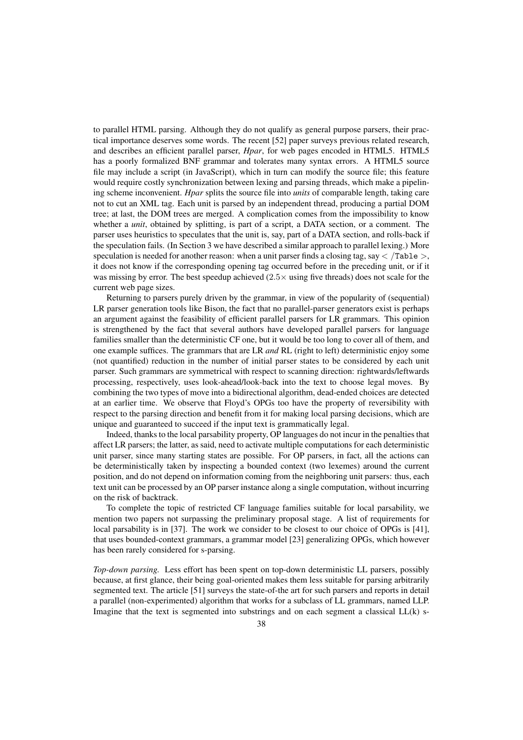to parallel HTML parsing. Although they do not qualify as general purpose parsers, their practical importance deserves some words. The recent [52] paper surveys previous related research, and describes an efficient parallel parser, *Hpar*, for web pages encoded in HTML5. HTML5 has a poorly formalized BNF grammar and tolerates many syntax errors. A HTML5 source file may include a script (in JavaScript), which in turn can modify the source file; this feature would require costly synchronization between lexing and parsing threads, which make a pipelining scheme inconvenient. *Hpar* splits the source file into *units* of comparable length, taking care not to cut an XML tag. Each unit is parsed by an independent thread, producing a partial DOM tree; at last, the DOM trees are merged. A complication comes from the impossibility to know whether a *unit*, obtained by splitting, is part of a script, a DATA section, or a comment. The parser uses heuristics to speculates that the unit is, say, part of a DATA section, and rolls-back if the speculation fails. (In Section 3 we have described a similar approach to parallel lexing.) More speculation is needed for another reason: when a unit parser finds a closing tag, say  $\lt$  /Table  $\gt$ , it does not know if the corresponding opening tag occurred before in the preceding unit, or if it was missing by error. The best speedup achieved  $(2.5 \times$  using five threads) does not scale for the current web page sizes.

Returning to parsers purely driven by the grammar, in view of the popularity of (sequential) LR parser generation tools like Bison, the fact that no parallel-parser generators exist is perhaps an argument against the feasibility of efficient parallel parsers for LR grammars. This opinion is strengthened by the fact that several authors have developed parallel parsers for language families smaller than the deterministic CF one, but it would be too long to cover all of them, and one example suffices. The grammars that are LR *and* RL (right to left) deterministic enjoy some (not quantified) reduction in the number of initial parser states to be considered by each unit parser. Such grammars are symmetrical with respect to scanning direction: rightwards/leftwards processing, respectively, uses look-ahead/look-back into the text to choose legal moves. By combining the two types of move into a bidirectional algorithm, dead-ended choices are detected at an earlier time. We observe that Floyd's OPGs too have the property of reversibility with respect to the parsing direction and benefit from it for making local parsing decisions, which are unique and guaranteed to succeed if the input text is grammatically legal.

Indeed, thanks to the local parsability property, OP languages do not incur in the penalties that affect LR parsers; the latter, as said, need to activate multiple computations for each deterministic unit parser, since many starting states are possible. For OP parsers, in fact, all the actions can be deterministically taken by inspecting a bounded context (two lexemes) around the current position, and do not depend on information coming from the neighboring unit parsers: thus, each text unit can be processed by an OP parser instance along a single computation, without incurring on the risk of backtrack.

To complete the topic of restricted CF language families suitable for local parsability, we mention two papers not surpassing the preliminary proposal stage. A list of requirements for local parsability is in [37]. The work we consider to be closest to our choice of OPGs is [41], that uses bounded-context grammars, a grammar model [23] generalizing OPGs, which however has been rarely considered for s-parsing.

*Top-down parsing.* Less effort has been spent on top-down deterministic LL parsers, possibly because, at first glance, their being goal-oriented makes them less suitable for parsing arbitrarily segmented text. The article [51] surveys the state-of-the art for such parsers and reports in detail a parallel (non-experimented) algorithm that works for a subclass of LL grammars, named LLP. Imagine that the text is segmented into substrings and on each segment a classical  $LL(k)$  s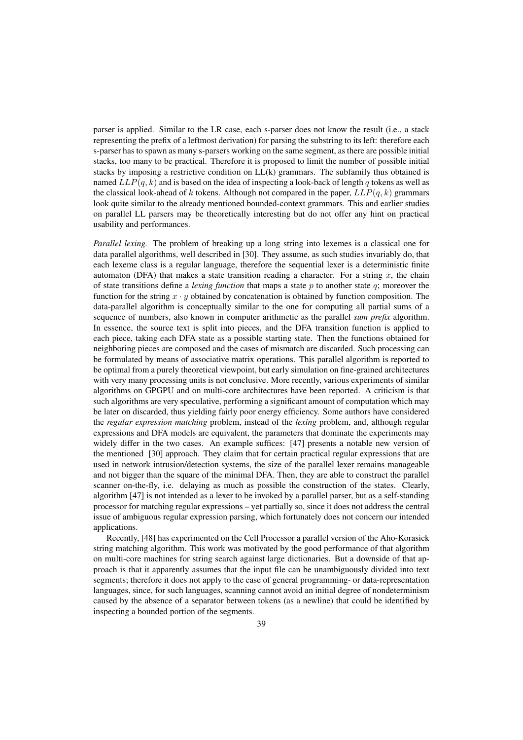parser is applied. Similar to the LR case, each s-parser does not know the result (i.e., a stack representing the prefix of a leftmost derivation) for parsing the substring to its left: therefore each s-parser has to spawn as many s-parsers working on the same segment, as there are possible initial stacks, too many to be practical. Therefore it is proposed to limit the number of possible initial stacks by imposing a restrictive condition on LL(k) grammars. The subfamily thus obtained is named  $LLP(q, k)$  and is based on the idea of inspecting a look-back of length q tokens as well as the classical look-ahead of k tokens. Although not compared in the paper,  $LLP(q, k)$  grammars look quite similar to the already mentioned bounded-context grammars. This and earlier studies on parallel LL parsers may be theoretically interesting but do not offer any hint on practical usability and performances.

*Parallel lexing.* The problem of breaking up a long string into lexemes is a classical one for data parallel algorithms, well described in [30]. They assume, as such studies invariably do, that each lexeme class is a regular language, therefore the sequential lexer is a deterministic finite automaton (DFA) that makes a state transition reading a character. For a string  $x$ , the chain of state transitions define a *lexing function* that maps a state p to another state q; moreover the function for the string  $x \cdot y$  obtained by concatenation is obtained by function composition. The data-parallel algorithm is conceptually similar to the one for computing all partial sums of a sequence of numbers, also known in computer arithmetic as the parallel *sum prefix* algorithm. In essence, the source text is split into pieces, and the DFA transition function is applied to each piece, taking each DFA state as a possible starting state. Then the functions obtained for neighboring pieces are composed and the cases of mismatch are discarded. Such processing can be formulated by means of associative matrix operations. This parallel algorithm is reported to be optimal from a purely theoretical viewpoint, but early simulation on fine-grained architectures with very many processing units is not conclusive. More recently, various experiments of similar algorithms on GPGPU and on multi-core architectures have been reported. A criticism is that such algorithms are very speculative, performing a significant amount of computation which may be later on discarded, thus yielding fairly poor energy efficiency. Some authors have considered the *regular expression matching* problem, instead of the *lexing* problem, and, although regular expressions and DFA models are equivalent, the parameters that dominate the experiments may widely differ in the two cases. An example suffices: [47] presents a notable new version of the mentioned [30] approach. They claim that for certain practical regular expressions that are used in network intrusion/detection systems, the size of the parallel lexer remains manageable and not bigger than the square of the minimal DFA. Then, they are able to construct the parallel scanner on-the-fly, i.e. delaying as much as possible the construction of the states. Clearly, algorithm [47] is not intended as a lexer to be invoked by a parallel parser, but as a self-standing processor for matching regular expressions – yet partially so, since it does not address the central issue of ambiguous regular expression parsing, which fortunately does not concern our intended applications.

Recently, [48] has experimented on the Cell Processor a parallel version of the Aho-Korasick string matching algorithm. This work was motivated by the good performance of that algorithm on multi-core machines for string search against large dictionaries. But a downside of that approach is that it apparently assumes that the input file can be unambiguously divided into text segments; therefore it does not apply to the case of general programming- or data-representation languages, since, for such languages, scanning cannot avoid an initial degree of nondeterminism caused by the absence of a separator between tokens (as a newline) that could be identified by inspecting a bounded portion of the segments.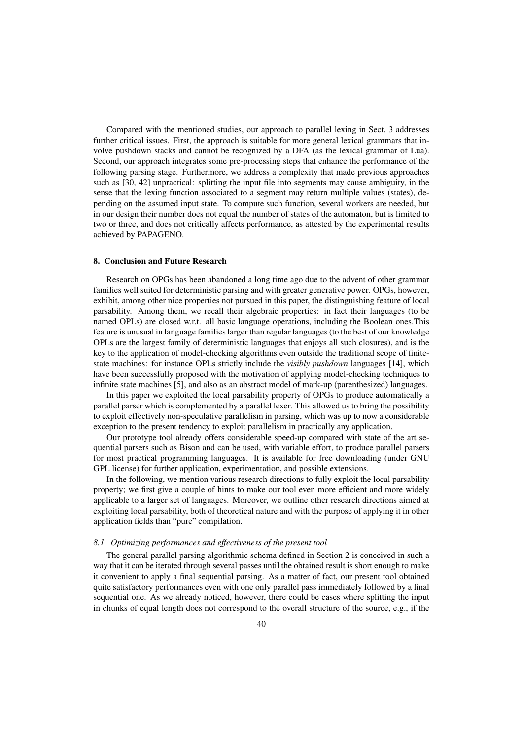Compared with the mentioned studies, our approach to parallel lexing in Sect. 3 addresses further critical issues. First, the approach is suitable for more general lexical grammars that involve pushdown stacks and cannot be recognized by a DFA (as the lexical grammar of Lua). Second, our approach integrates some pre-processing steps that enhance the performance of the following parsing stage. Furthermore, we address a complexity that made previous approaches such as [30, 42] unpractical: splitting the input file into segments may cause ambiguity, in the sense that the lexing function associated to a segment may return multiple values (states), depending on the assumed input state. To compute such function, several workers are needed, but in our design their number does not equal the number of states of the automaton, but is limited to two or three, and does not critically affects performance, as attested by the experimental results achieved by PAPAGENO.

#### 8. Conclusion and Future Research

Research on OPGs has been abandoned a long time ago due to the advent of other grammar families well suited for deterministic parsing and with greater generative power. OPGs, however, exhibit, among other nice properties not pursued in this paper, the distinguishing feature of local parsability. Among them, we recall their algebraic properties: in fact their languages (to be named OPLs) are closed w.r.t. all basic language operations, including the Boolean ones.This feature is unusual in language families larger than regular languages (to the best of our knowledge OPLs are the largest family of deterministic languages that enjoys all such closures), and is the key to the application of model-checking algorithms even outside the traditional scope of finitestate machines: for instance OPLs strictly include the *visibly pushdown* languages [14], which have been successfully proposed with the motivation of applying model-checking techniques to infinite state machines [5], and also as an abstract model of mark-up (parenthesized) languages.

In this paper we exploited the local parsability property of OPGs to produce automatically a parallel parser which is complemented by a parallel lexer. This allowed us to bring the possibility to exploit effectively non-speculative parallelism in parsing, which was up to now a considerable exception to the present tendency to exploit parallelism in practically any application.

Our prototype tool already offers considerable speed-up compared with state of the art sequential parsers such as Bison and can be used, with variable effort, to produce parallel parsers for most practical programming languages. It is available for free downloading (under GNU GPL license) for further application, experimentation, and possible extensions.

In the following, we mention various research directions to fully exploit the local parsability property; we first give a couple of hints to make our tool even more efficient and more widely applicable to a larger set of languages. Moreover, we outline other research directions aimed at exploiting local parsability, both of theoretical nature and with the purpose of applying it in other application fields than "pure" compilation.

## *8.1. Optimizing performances and effectiveness of the present tool*

The general parallel parsing algorithmic schema defined in Section 2 is conceived in such a way that it can be iterated through several passes until the obtained result is short enough to make it convenient to apply a final sequential parsing. As a matter of fact, our present tool obtained quite satisfactory performances even with one only parallel pass immediately followed by a final sequential one. As we already noticed, however, there could be cases where splitting the input in chunks of equal length does not correspond to the overall structure of the source, e.g., if the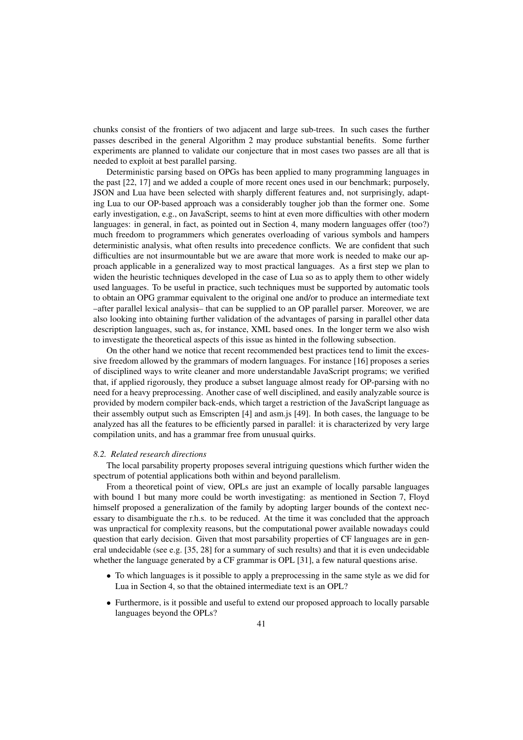chunks consist of the frontiers of two adjacent and large sub-trees. In such cases the further passes described in the general Algorithm 2 may produce substantial benefits. Some further experiments are planned to validate our conjecture that in most cases two passes are all that is needed to exploit at best parallel parsing.

Deterministic parsing based on OPGs has been applied to many programming languages in the past [22, 17] and we added a couple of more recent ones used in our benchmark; purposely, JSON and Lua have been selected with sharply different features and, not surprisingly, adapting Lua to our OP-based approach was a considerably tougher job than the former one. Some early investigation, e.g., on JavaScript, seems to hint at even more difficulties with other modern languages: in general, in fact, as pointed out in Section 4, many modern languages offer (too?) much freedom to programmers which generates overloading of various symbols and hampers deterministic analysis, what often results into precedence conflicts. We are confident that such difficulties are not insurmountable but we are aware that more work is needed to make our approach applicable in a generalized way to most practical languages. As a first step we plan to widen the heuristic techniques developed in the case of Lua so as to apply them to other widely used languages. To be useful in practice, such techniques must be supported by automatic tools to obtain an OPG grammar equivalent to the original one and/or to produce an intermediate text –after parallel lexical analysis– that can be supplied to an OP parallel parser. Moreover, we are also looking into obtaining further validation of the advantages of parsing in parallel other data description languages, such as, for instance, XML based ones. In the longer term we also wish to investigate the theoretical aspects of this issue as hinted in the following subsection.

On the other hand we notice that recent recommended best practices tend to limit the excessive freedom allowed by the grammars of modern languages. For instance [16] proposes a series of disciplined ways to write cleaner and more understandable JavaScript programs; we verified that, if applied rigorously, they produce a subset language almost ready for OP-parsing with no need for a heavy preprocessing. Another case of well disciplined, and easily analyzable source is provided by modern compiler back-ends, which target a restriction of the JavaScript language as their assembly output such as Emscripten [4] and asm.js [49]. In both cases, the language to be analyzed has all the features to be efficiently parsed in parallel: it is characterized by very large compilation units, and has a grammar free from unusual quirks.

#### *8.2. Related research directions*

The local parsability property proposes several intriguing questions which further widen the spectrum of potential applications both within and beyond parallelism.

From a theoretical point of view, OPLs are just an example of locally parsable languages with bound 1 but many more could be worth investigating: as mentioned in Section 7, Floyd himself proposed a generalization of the family by adopting larger bounds of the context necessary to disambiguate the r.h.s. to be reduced. At the time it was concluded that the approach was unpractical for complexity reasons, but the computational power available nowadays could question that early decision. Given that most parsability properties of CF languages are in general undecidable (see e.g. [35, 28] for a summary of such results) and that it is even undecidable whether the language generated by a CF grammar is OPL [31], a few natural questions arise.

- To which languages is it possible to apply a preprocessing in the same style as we did for Lua in Section 4, so that the obtained intermediate text is an OPL?
- Furthermore, is it possible and useful to extend our proposed approach to locally parsable languages beyond the OPLs?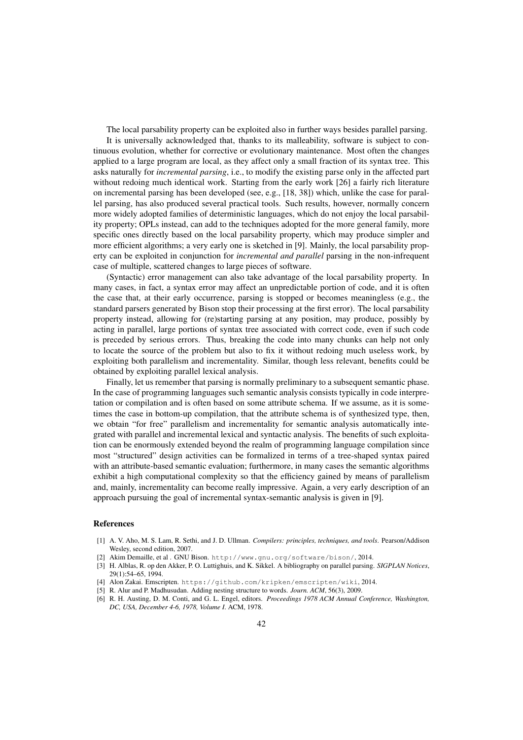The local parsability property can be exploited also in further ways besides parallel parsing.

It is universally acknowledged that, thanks to its malleability, software is subject to continuous evolution, whether for corrective or evolutionary maintenance. Most often the changes applied to a large program are local, as they affect only a small fraction of its syntax tree. This asks naturally for *incremental parsing*, i.e., to modify the existing parse only in the affected part without redoing much identical work. Starting from the early work [26] a fairly rich literature on incremental parsing has been developed (see, e.g., [18, 38]) which, unlike the case for parallel parsing, has also produced several practical tools. Such results, however, normally concern more widely adopted families of deterministic languages, which do not enjoy the local parsability property; OPLs instead, can add to the techniques adopted for the more general family, more specific ones directly based on the local parsability property, which may produce simpler and more efficient algorithms; a very early one is sketched in [9]. Mainly, the local parsability property can be exploited in conjunction for *incremental and parallel* parsing in the non-infrequent case of multiple, scattered changes to large pieces of software.

(Syntactic) error management can also take advantage of the local parsability property. In many cases, in fact, a syntax error may affect an unpredictable portion of code, and it is often the case that, at their early occurrence, parsing is stopped or becomes meaningless (e.g., the standard parsers generated by Bison stop their processing at the first error). The local parsability property instead, allowing for (re)starting parsing at any position, may produce, possibly by acting in parallel, large portions of syntax tree associated with correct code, even if such code is preceded by serious errors. Thus, breaking the code into many chunks can help not only to locate the source of the problem but also to fix it without redoing much useless work, by exploiting both parallelism and incrementality. Similar, though less relevant, benefits could be obtained by exploiting parallel lexical analysis.

Finally, let us remember that parsing is normally preliminary to a subsequent semantic phase. In the case of programming languages such semantic analysis consists typically in code interpretation or compilation and is often based on some attribute schema. If we assume, as it is sometimes the case in bottom-up compilation, that the attribute schema is of synthesized type, then, we obtain "for free" parallelism and incrementality for semantic analysis automatically integrated with parallel and incremental lexical and syntactic analysis. The benefits of such exploitation can be enormously extended beyond the realm of programming language compilation since most "structured" design activities can be formalized in terms of a tree-shaped syntax paired with an attribute-based semantic evaluation; furthermore, in many cases the semantic algorithms exhibit a high computational complexity so that the efficiency gained by means of parallelism and, mainly, incrementality can become really impressive. Again, a very early description of an approach pursuing the goal of incremental syntax-semantic analysis is given in [9].

## References

- [1] A. V. Aho, M. S. Lam, R. Sethi, and J. D. Ullman. *Compilers: principles, techniques, and tools*. Pearson/Addison Wesley, second edition, 2007.
- [2] Akim Demaille, et al . GNU Bison. http://www.gnu.org/software/bison/, 2014.
- [3] H. Alblas, R. op den Akker, P. O. Luttighuis, and K. Sikkel. A bibliography on parallel parsing. *SIGPLAN Notices*, 29(1):54–65, 1994.
- [4] Alon Zakai. Emscripten. https://github.com/kripken/emscripten/wiki, 2014.
- [5] R. Alur and P. Madhusudan. Adding nesting structure to words. *Journ. ACM*, 56(3), 2009.
- [6] R. H. Austing, D. M. Conti, and G. L. Engel, editors. *Proceedings 1978 ACM Annual Conference, Washington, DC, USA, December 4-6, 1978, Volume I*. ACM, 1978.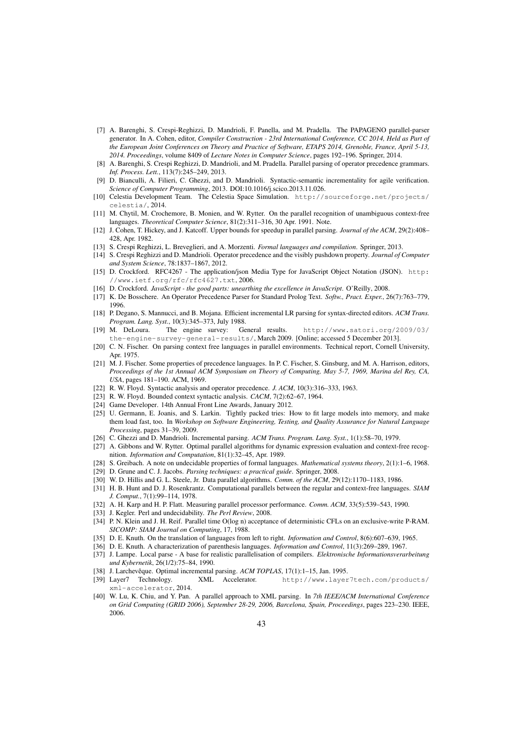- [7] A. Barenghi, S. Crespi-Reghizzi, D. Mandrioli, F. Panella, and M. Pradella. The PAPAGENO parallel-parser generator. In A. Cohen, editor, *Compiler Construction - 23rd International Conference, CC 2014, Held as Part of the European Joint Conferences on Theory and Practice of Software, ETAPS 2014, Grenoble, France, April 5-13, 2014. Proceedings*, volume 8409 of *Lecture Notes in Computer Science*, pages 192–196. Springer, 2014.
- [8] A. Barenghi, S. Crespi Reghizzi, D. Mandrioli, and M. Pradella. Parallel parsing of operator precedence grammars. *Inf. Process. Lett.*, 113(7):245–249, 2013.
- [9] D. Bianculli, A. Filieri, C. Ghezzi, and D. Mandrioli. Syntactic-semantic incrementality for agile verification. *Science of Computer Programming*, 2013. DOI:10.1016/j.scico.2013.11.026.
- [10] Celestia Development Team. The Celestia Space Simulation. http://sourceforge.net/projects/ celestia/, 2014.
- [11] M. Chytil, M. Crochemore, B. Monien, and W. Rytter. On the parallel recognition of unambiguous context-free languages. *Theoretical Computer Science*, 81(2):311–316, 30 Apr. 1991. Note.
- [12] J. Cohen, T. Hickey, and J. Katcoff. Upper bounds for speedup in parallel parsing. *Journal of the ACM*, 29(2):408– 428, Apr. 1982.
- [13] S. Crespi Reghizzi, L. Breveglieri, and A. Morzenti. *Formal languages and compilation*. Springer, 2013.
- [14] S. Crespi Reghizzi and D. Mandrioli. Operator precedence and the visibly pushdown property. *Journal of Computer and System Science*, 78:1837–1867, 2012.
- [15] D. Crockford. RFC4267 The application/json Media Type for JavaScript Object Notation (JSON). http: //www.ietf.org/rfc/rfc4627.txt, 2006.
- [16] D. Crockford. *JavaScript the good parts: unearthing the excellence in JavaScript*. O'Reilly, 2008.
- [17] K. De Bosschere. An Operator Precedence Parser for Standard Prolog Text. *Softw., Pract. Exper.*, 26(7):763–779, 1996.
- [18] P. Degano, S. Mannucci, and B. Mojana. Efficient incremental LR parsing for syntax-directed editors. *ACM Trans. Program. Lang. Syst.*, 10(3):345–373, July 1988.
- [19] M. DeLoura. The engine survey: General results. http://www.satori.org/2009/03/ the-engine-survey-general-results/, March 2009. [Online; accessed 5 December 2013].
- [20] C. N. Fischer. On parsing context free languages in parallel environments. Technical report, Cornell University, Apr. 1975.
- [21] M. J. Fischer. Some properties of precedence languages. In P. C. Fischer, S. Ginsburg, and M. A. Harrison, editors, *Proceedings of the 1st Annual ACM Symposium on Theory of Computing, May 5-7, 1969, Marina del Rey, CA, USA*, pages 181–190. ACM, 1969.
- [22] R. W. Floyd. Syntactic analysis and operator precedence. *J. ACM*, 10(3):316–333, 1963.
- [23] R. W. Floyd. Bounded context syntactic analysis. *CACM*, 7(2):62–67, 1964.
- [24] Game Developer. 14th Annual Front Line Awards, January 2012.
- [25] U. Germann, E. Joanis, and S. Larkin. Tightly packed tries: How to fit large models into memory, and make them load fast, too. In *Workshop on Software Engineering, Testing, and Quality Assurance for Natural Language Processing*, pages 31–39, 2009.
- [26] C. Ghezzi and D. Mandrioli. Incremental parsing. *ACM Trans. Program. Lang. Syst.*, 1(1):58–70, 1979.
- [27] A. Gibbons and W. Rytter. Optimal parallel algorithms for dynamic expression evaluation and context-free recognition. *Information and Computation*, 81(1):32–45, Apr. 1989.
- [28] S. Greibach. A note on undecidable properties of formal languages. *Mathematical systems theory*, 2(1):1–6, 1968.
- [29] D. Grune and C. J. Jacobs. *Parsing techniques: a practical guide*. Springer, 2008.
- [30] W. D. Hillis and G. L. Steele, Jr. Data parallel algorithms. *Comm. of the ACM*, 29(12):1170–1183, 1986.
- [31] H. B. Hunt and D. J. Rosenkrantz. Computational parallels between the regular and context-free languages. *SIAM J. Comput.*, 7(1):99–114, 1978.
- [32] A. H. Karp and H. P. Flatt. Measuring parallel processor performance. *Comm. ACM*, 33(5):539–543, 1990.
- [33] J. Kegler. Perl and undecidability. *The Perl Review*, 2008.
- [34] P. N. Klein and J. H. Reif. Parallel time O(log n) acceptance of deterministic CFLs on an exclusive-write P-RAM. *SICOMP: SIAM Journal on Computing*, 17, 1988.
- [35] D. E. Knuth. On the translation of languages from left to right. *Information and Control*, 8(6):607–639, 1965.
- [36] D. E. Knuth. A characterization of parenthesis languages. *Information and Control*, 11(3):269–289, 1967.
- [37] J. Lampe. Local parse A base for realistic parallelisation of compilers. *Elektronische Informationsverarbeitung und Kybernetik*, 26(1/2):75–84, 1990.
- [38] J. Larchevêque. Optimal incremental parsing. *ACM TOPLAS*, 17(1):1-15, Jan. 1995.
- [39] Layer7 Technology. XML Accelerator. http://www.layer7tech.com/products/ xml-accelerator, 2014.
- [40] W. Lu, K. Chiu, and Y. Pan. A parallel approach to XML parsing. In *7th IEEE/ACM International Conference on Grid Computing (GRID 2006), September 28-29, 2006, Barcelona, Spain, Proceedings*, pages 223–230. IEEE, 2006.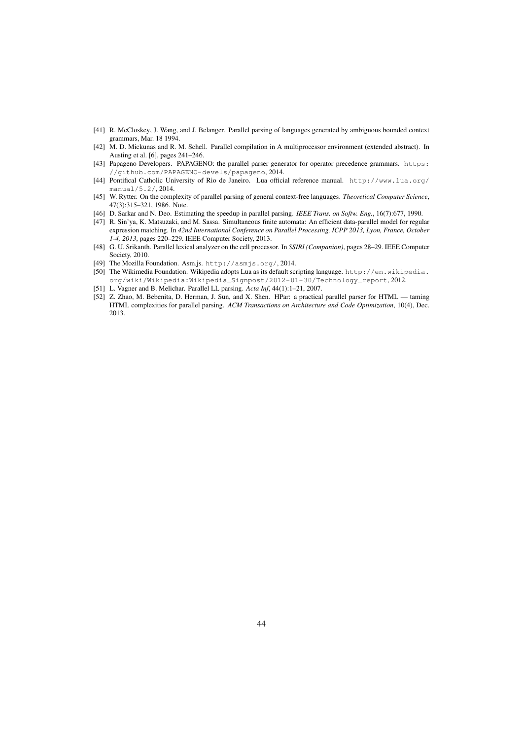- [41] R. McCloskey, J. Wang, and J. Belanger. Parallel parsing of languages generated by ambiguous bounded context grammars, Mar. 18 1994.
- [42] M. D. Mickunas and R. M. Schell. Parallel compilation in A multiprocessor environment (extended abstract). In Austing et al. [6], pages 241–246.
- [43] Papageno Developers. PAPAGENO: the parallel parser generator for operator precedence grammars. https: //github.com/PAPAGENO-devels/papageno, 2014.
- [44] Pontifical Catholic University of Rio de Janeiro. Lua official reference manual. http://www.lua.org/ manual/5.2/, 2014.
- [45] W. Rytter. On the complexity of parallel parsing of general context-free languages. *Theoretical Computer Science*, 47(3):315–321, 1986. Note.
- [46] D. Sarkar and N. Deo. Estimating the speedup in parallel parsing. *IEEE Trans. on Softw. Eng.*, 16(7):677, 1990.
- [47] R. Sin'ya, K. Matsuzaki, and M. Sassa. Simultaneous finite automata: An efficient data-parallel model for regular expression matching. In *42nd International Conference on Parallel Processing, ICPP 2013, Lyon, France, October 1-4, 2013*, pages 220–229. IEEE Computer Society, 2013.
- [48] G. U. Srikanth. Parallel lexical analyzer on the cell processor. In *SSIRI (Companion)*, pages 28–29. IEEE Computer Society, 2010.
- [49] The Mozilla Foundation. Asm.js. http://asmjs.org/, 2014.
- [50] The Wikimedia Foundation. Wikipedia adopts Lua as its default scripting language. http://en.wikipedia. org/wiki/Wikipedia:Wikipedia\_Signpost/2012-01-30/Technology\_report, 2012.
- [51] L. Vagner and B. Melichar. Parallel LL parsing. *Acta Inf*, 44(1):1–21, 2007.
- [52] Z. Zhao, M. Bebenita, D. Herman, J. Sun, and X. Shen. HPar: a practical parallel parser for HTML taming HTML complexities for parallel parsing. *ACM Transactions on Architecture and Code Optimization*, 10(4), Dec. 2013.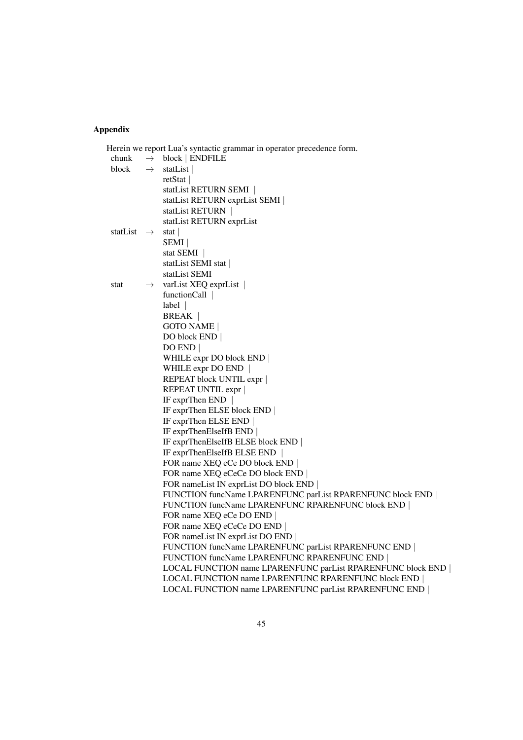# Appendix

|          |               | Herein we report Lua's syntactic grammar in operator precedence form. |
|----------|---------------|-----------------------------------------------------------------------|
| chunk    | $\rightarrow$ | block   ENDFILE                                                       |
| block    | $\rightarrow$ | statList                                                              |
|          |               | retStat                                                               |
|          |               | statList RETURN SEMI                                                  |
|          |               | statList RETURN exprList SEMI                                         |
|          |               | statList RETURN                                                       |
|          |               | statList RETURN exprList                                              |
| statList | $\rightarrow$ | stat                                                                  |
|          |               | <b>SEMI</b>                                                           |
|          |               | stat SEMI                                                             |
|          |               | statList SEMI stat                                                    |
|          |               | statList SEMI                                                         |
| stat     | $\rightarrow$ | varList XEQ exprList                                                  |
|          |               | functionCall $\vert$                                                  |
|          |               | $label$                                                               |
|          |               | <b>BREAK</b>                                                          |
|          |               | <b>GOTO NAME</b>                                                      |
|          |               | DO block END                                                          |
|          |               | DOEND                                                                 |
|          |               | WHILE expr DO block END                                               |
|          |               | WHILE expr DO END $ $                                                 |
|          |               | REPEAT block UNTIL expr                                               |
|          |               | REPEAT UNTIL expr                                                     |
|          |               | IF exprThen END                                                       |
|          |               | IF exprThen ELSE block END                                            |
|          |               | IF exprThen ELSE END                                                  |
|          |               | IF exprThenElseIfB END                                                |
|          |               | IF exprThenElseIfB ELSE block END                                     |
|          |               | IF exprThenElseIfB ELSE END                                           |
|          |               | FOR name XEQ eCe DO block END                                         |
|          |               | FOR name XEQ eCeCe DO block END                                       |
|          |               | FOR nameList IN exprList DO block END                                 |
|          |               | FUNCTION funcName LPARENFUNC parList RPARENFUNC block END             |
|          |               | FUNCTION funcName LPARENFUNC RPARENFUNC block END                     |
|          |               | FOR name XEQ eCe DO END                                               |
|          |               | FOR name XEQ eCeCe DO END                                             |
|          |               | FOR nameList IN exprList DO END                                       |
|          |               | FUNCTION funcName LPARENFUNC parList RPARENFUNC END                   |
|          |               | FUNCTION funcName LPARENFUNC RPARENFUNC END                           |
|          |               | LOCAL FUNCTION name LPARENFUNC parList RPARENFUNC block END           |
|          |               | LOCAL FUNCTION name LPARENFUNC RPARENFUNC block END                   |
|          |               | LOCAL FUNCTION name LPARENFUNC parList RPARENFUNC END                 |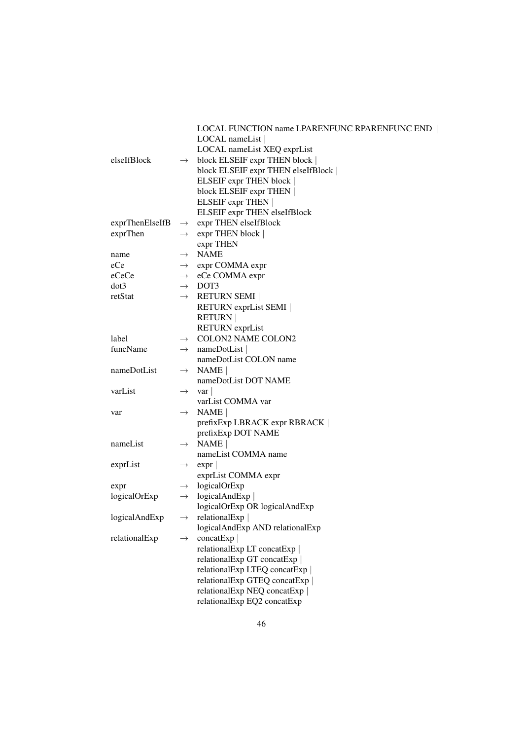|                 |               | LOCAL FUNCTION name LPARENFUNC RPARENFUNC END |
|-----------------|---------------|-----------------------------------------------|
|                 |               | LOCAL nameList                                |
|                 |               | LOCAL nameList XEQ exprList                   |
| elseIfBlock     | $\rightarrow$ | block ELSEIF expr THEN block                  |
|                 |               | block ELSEIF expr THEN elseIfBlock            |
|                 |               | ELSEIF expr THEN block                        |
|                 |               | block ELSEIF expr THEN                        |
|                 |               | ELSEIF expr THEN                              |
|                 |               | ELSEIF expr THEN elseIfBlock                  |
| exprThenElseIfB |               | $\rightarrow$ expr THEN elseIfBlock           |
| exprThen        |               | $\rightarrow$ expr THEN block                 |
|                 |               | expr THEN                                     |
| name            |               | $\rightarrow$ NAME                            |
| eCe             |               | $\rightarrow$ expr COMMA expr                 |
| eCeCe           |               | $\rightarrow$ eCe COMMA expr                  |
| dot3            |               | $\rightarrow$ DOT3                            |
| retStat         |               | $\rightarrow$ RETURN SEMI                     |
|                 |               | RETURN exprList SEMI                          |
|                 |               | <b>RETURN</b>                                 |
|                 |               | <b>RETURN</b> exprList                        |
| label           |               | $\rightarrow$ COLON2 NAME COLON2              |
| funcName        | $\rightarrow$ | nameDotList                                   |
|                 |               | nameDotList COLON name                        |
| nameDotList     |               | $\rightarrow$ NAME                            |
|                 |               | nameDotList DOT NAME                          |
| varList         | $\rightarrow$ | var                                           |
|                 |               | varList COMMA var                             |
| var             | $\rightarrow$ | NAME                                          |
|                 |               | prefixExp LBRACK expr RBRACK                  |
|                 |               | prefixExp DOT NAME                            |
| nameList        |               | $\rightarrow$ NAME                            |
|                 |               | nameList COMMA name                           |
| exprList        | $\rightarrow$ | expr                                          |
|                 |               | exprList COMMA expr                           |
| expr            |               | $\rightarrow$ logicalOrExp                    |
| logicalOrExp    |               | $\rightarrow$ logicalAndExp                   |
|                 |               | logicalOrExp OR logicalAndExp                 |
| logicalAndExp   |               | $\rightarrow$ relational Exp                  |
|                 |               | logicalAndExp AND relationalExp               |
| relationalExp   | $\rightarrow$ | concatExp                                     |
|                 |               | relationalExp LT concatExp                    |
|                 |               | relationalExp GT concatExp                    |
|                 |               | relationalExp LTEQ concatExp                  |
|                 |               | relationalExp GTEQ concatExp                  |
|                 |               | relationalExp NEQ concatExp                   |
|                 |               | relationalExp EQ2 concatExp                   |
|                 |               |                                               |